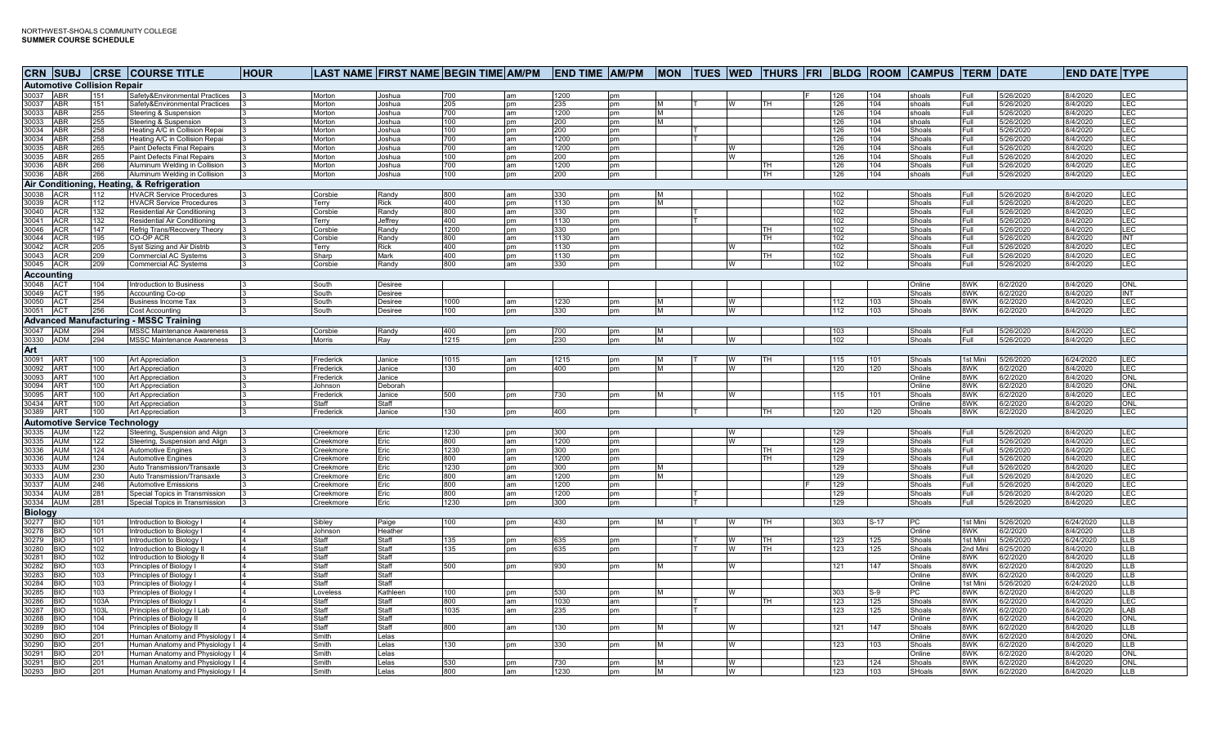|                                            |            | CRN SUBJ CRSE COURSE TITLE                                   | <b>HOUR</b>                 |                      | LAST NAME FIRST NAME BEGIN TIME AM/PM END TIME AM/PM MON TUES WED THURS FRI BLDG ROOM CAMPUS TERM DATE |            |           |             |           |   |        |           |            |            |                  |                 |                        | <b>END DATE TYPE</b> |             |
|--------------------------------------------|------------|--------------------------------------------------------------|-----------------------------|----------------------|--------------------------------------------------------------------------------------------------------|------------|-----------|-------------|-----------|---|--------|-----------|------------|------------|------------------|-----------------|------------------------|----------------------|-------------|
| <b>Automotive Collision Repair</b>         |            |                                                              |                             |                      |                                                                                                        |            |           |             |           |   |        |           |            |            |                  |                 |                        |                      |             |
| 30037 ABR                                  | 151        | Safety&Environmental Practices                               |                             | Morton               | Joshua                                                                                                 | 700        | am        | 1200        | pm        |   |        |           | 126        | 104        | shoals           | Full            | 5/26/2020              | 8/4/2020             | LEC         |
| 30037<br><b>ABR</b>                        | 151        | Safety&Environmental Practices                               |                             | Morton               | Joshua                                                                                                 | 205        | pm        | 235         | pm        |   | W      | <b>TH</b> | 126        | 104        | shoals           | Full            | 5/26/2020              | 8/4/2020             | LEC         |
| 30033 ABR                                  | 255        | Steering & Suspension                                        |                             | Morton               | Joshua                                                                                                 | 700        | am        | 1200        | pm        | м |        |           | 126        | 104        | shoals           | Full            | 5/26/2020              | 8/4/2020             | LEC         |
| 30033 ABR                                  | 255        | Steering & Suspension                                        |                             | Morton               | Joshua                                                                                                 | 100        | pm        | 200         | pm        | M |        |           | 126        | 104        | shoals           | Full            | 5/26/2020              | 8/4/2020             | LEC         |
| 30034<br><b>ABR</b>                        | 258        | Heating A/C in Collision Repai                               |                             | Morton               | Joshua                                                                                                 | 100        | pm        | 200         | <b>pm</b> |   |        |           | 126        | 104        | Shoals           | Full            | 5/26/2020              | 8/4/2020             | LEC         |
| 30034<br><b>ABR</b>                        | 258        | Heating A/C in Collision Repai                               |                             | Morton               | Joshua                                                                                                 | 700        | am        | 1200        | pm        |   |        |           | 126        | 104        | Shoals           | Full            | 5/26/2020              | 8/4/2020             | LEC         |
| 30035<br><b>ABR</b>                        | 265        | Paint Defects Final Repairs                                  |                             | Morton               | Joshua                                                                                                 | 700        | am        | 1200        | pm        |   | W<br>W |           | 126        | 104        | Shoals           | Full            | 5/26/2020              | 8/4/2020<br>8/4/2020 | LEC         |
| 30035<br><b>ABR</b><br>30036<br><b>ABR</b> | 265<br>266 | Paint Defects Final Repairs<br>Aluminum Welding in Collision |                             | Morton<br>Morton     | Joshua<br>Joshua                                                                                       | 100<br>700 | pm<br>am  | 200<br>1200 | pm<br>pm  |   |        | TH.       | 126<br>126 | 104<br>104 | Shoals<br>Shoals | Full<br>Full    | 5/26/2020<br>5/26/2020 | 8/4/2020             | LEC<br>LEC  |
| 30036 ABR                                  | 266        | Aluminum Welding in Collision                                | 13                          | Morton               | Joshua                                                                                                 | 100        | pm        | 200         | pm        |   |        | TH        | 126        | 104        | shoals           | Full            | 5/26/2020              | 8/4/2020             | LEC         |
|                                            |            | Air Conditioning, Heating, & Refrigeration                   |                             |                      |                                                                                                        |            |           |             |           |   |        |           |            |            |                  |                 |                        |                      |             |
| 30038 ACR                                  | 112        | <b>HVACR Service Procedures</b>                              |                             | Corsbie              | Randy                                                                                                  | 800        | am        | 330         | pm        |   |        |           | 102        |            | Shoals           | Full            | 5/26/2020              | 8/4/2020             | LEC         |
| 30039 ACR                                  | 112        | <b>HVACR Service Procedures</b>                              |                             | Terry                | Rick                                                                                                   | 400        | pm        | 1130        | pm        |   |        |           | 102        |            | Shoals           | Full            | 5/26/2020              | 8/4/2020             | LEC         |
| 30040<br><b>ACR</b>                        | 132        | Residential Air Conditioning                                 |                             | Corsbie              | Randy                                                                                                  | 800        | am        | 330         | pm        |   |        |           | 102        |            | Shoals           | Full            | 5/26/2020              | 8/4/2020             | LEC         |
| 30041<br><b>ACR</b>                        | 132        | Residential Air Conditioning                                 |                             | Terry                | Jeffrey                                                                                                | 400        | pm        | 1130        | pm        |   |        |           | 102        |            | Shoals           | Full            | 5/26/2020              | 8/4/2020             | LEC         |
| 30046<br><b>ACR</b>                        | 147        | Refrig Trans/Recovery Theory                                 | l3                          | Corsbie              | Randy                                                                                                  | 1200       | pm        | 330         | pm        |   |        | ITH.      | 102        |            | Shoals           | Full            | 5/26/2020              | 8/4/2020             | LEC         |
| 30044<br><b>ACR</b>                        | 195        | CO-OP ACR                                                    |                             | corsbie              | Randv                                                                                                  | 800        | am        | 1130        | am        |   |        | <b>TH</b> | 102        |            | Shoals           | Full            | 5/26/2020              | 8/4/2020             | INT         |
| 30042<br><b>ACR</b>                        | 205        | Syst Sizing and Air Distrib                                  |                             | Terry                | Rick                                                                                                   | 400        | pm        | 1130        | pm        |   | W      |           | 102        |            | Shoals           | Full            | 5/26/2020              | 8/4/2020             | LEC         |
| 30043 ACR                                  | 209        | <b>Commercial AC Systems</b>                                 |                             | Sharp                | Mark                                                                                                   | 400        | pm        | 1130        | pm        |   |        | TH        | 102        |            | Shoals           | Full            | 5/26/2020              | 8/4/2020             | LEC         |
| 30045 ACR                                  | 209        | <b>Commercial AC Systems</b>                                 | l3                          | Corsbie              | Randy                                                                                                  | 800        | am        | 330         | pm        |   | W      |           | 102        |            | Shoals           | Full            | 5/26/2020              | 8/4/2020             | LEC         |
| <b>Accounting</b>                          |            |                                                              |                             |                      |                                                                                                        |            |           |             |           |   |        |           |            |            |                  |                 |                        |                      |             |
| 30048 ACT                                  | 104        | Introduction to Business                                     | 13                          | South                | Desiree                                                                                                |            |           |             |           |   |        |           |            |            | Online           | 8WK             | 6/2/2020               | 8/4/2020             | ONL         |
| 30049 ACT                                  | 195        | Accounting Co-op                                             | l3                          | South                | Desiree                                                                                                |            |           |             |           |   |        |           |            |            | Shoals           | 8WK             | 6/2/2020               | 8/4/2020             | <b>INT</b>  |
| 30050<br><b>ACT</b>                        | 254        | <b>Business Income Tax</b>                                   |                             | South                | Desiree                                                                                                | 1000       | am        | 1230        | pm        |   | W      |           | 112        | 103        | Shoals           | 8WK             | 6/2/2020               | 8/4/2020             | LEC         |
| 30051 ACT                                  | 256        | Cost Accounting                                              | $\mathsf{13}$               | South                | Desiree                                                                                                | 100        | pm        | 330         | pm        | M | W      |           | 112        | 103        | Shoals           | 8WK             | 6/2/2020               | 8/4/2020             | <b>LEC</b>  |
|                                            |            | <b>Advanced Manufacturing - MSSC Training</b>                |                             |                      |                                                                                                        |            |           |             |           |   |        |           |            |            |                  |                 |                        |                      |             |
| 30047 ADM                                  | 294        | <b>MSSC Maintenance Awareness</b>                            | $\vert$ 3                   | Corsbie              | Randy                                                                                                  | 400        | pm        | 700         | pm        |   |        |           | 103        |            | Shoals           | Full            | 5/26/2020              | 8/4/2020             | <b>LEC</b>  |
| 30330 ADM                                  | 294        | <b>MSSC Maintenance Awareness</b>                            | $\mathbf{13}$               | Morris               | Ray                                                                                                    | 1215       | pm        | 230         | pm        |   |        |           | 102        |            | Shoals           | Full            | 5/26/2020              | 8/4/2020             | LEC         |
| Art                                        |            |                                                              |                             |                      |                                                                                                        |            |           |             |           |   |        |           |            |            |                  |                 |                        |                      |             |
| 30091<br><b>ART</b>                        | 100        | Art Appreciation                                             |                             | Frederick            | Janice                                                                                                 | 1015       | am        | 1215        | pm        |   | W      | TH        | 115        | 101        | Shoals           | 1st Mini        | 5/26/2020              | 6/24/2020            | LEC         |
| 30092<br>AR <sup>-</sup>                   | 100        | Art Appreciation                                             |                             | rederick             | Janice                                                                                                 | 130        | <b>pm</b> | 400         | pm        |   | W      |           | 120        | 120        | Shoals           | 8WK             | 6/2/2020               | 8/4/2020             | LEC         |
| 30093<br><b>ART</b>                        | 100        | Art Appreciation                                             |                             | rederick             | Janice                                                                                                 |            |           |             |           |   |        |           |            |            | Online           | 8WK<br>8WK      | 6/2/2020               | 8/4/2020<br>8/4/2020 | ONL<br>ONL  |
| 30094 ART<br>30095 ART                     | 100<br>100 | Art Appreciation<br>Art Appreciation                         |                             | Johnson<br>Frederick | Deborah<br>Janice                                                                                      | 500        | pm        | 730         | pm        |   | W      |           | 115        | 101        | Online<br>Shoals | 8WK             | 6/2/2020<br>6/2/2020   | 8/4/2020             | LEC         |
| 30434<br>AR <sub>1</sub>                   | 100        | Art Appreciation                                             |                             | Staff                | Staff                                                                                                  |            |           |             |           |   |        |           |            |            | Online           | 8WK             | 6/2/2020               | 8/4/2020             | ONL         |
| 30389 ART                                  | 100        | Art Appreciation                                             |                             | Frederick            | Janice                                                                                                 | 130        | pm        | 400         | pm        |   |        | Ē         | 120        | 120        | Shoals           | 8WK             | 6/2/2020               | 8/4/2020             | LEC         |
| <b>Automotive Service Technology</b>       |            |                                                              |                             |                      |                                                                                                        |            |           |             |           |   |        |           |            |            |                  |                 |                        |                      |             |
| 30335<br><b>AUM</b>                        | 122        | Steering, Suspension and Align                               |                             | Creekmore            | Eric                                                                                                   | 1230       | pm        | 300         | pm        |   | W      |           | 129        |            | Shoals           | Full            | 5/26/2020              | 8/4/2020             | LEC         |
| 30335<br><b>AUM</b>                        | 122        | Steering, Suspension and Align                               |                             | reekmore             | Eric                                                                                                   | 800        | am        | 1200        | pm        |   | W      |           | 129        |            | Shoals           | Full            | 5/26/2020              | 8/4/2020             | LEC         |
| 30336<br><b>AUM</b>                        | 124        | <b>Automotive Engines</b>                                    |                             | ∶reekmore            | Eric                                                                                                   | 1230       | <b>pm</b> | 300         | pm        |   |        | TH        | 129        |            | Shoals           | Full            | 5/26/2020              | 8/4/2020             | LEC         |
| 30336<br><b>AUM</b>                        | 124        | Automotive Engines                                           |                             | ∶reekmore            | Eric                                                                                                   | 800        | am        | 1200        | pm        |   |        | TH        | 129        |            | Shoals           | Full            | 5/26/2020              | 8/4/2020             | LEC         |
| 30333<br><b>AUM</b>                        | 230        | Auto Transmission/Transaxle                                  |                             | ceekmore             | Eric                                                                                                   | 1230       | pm        | 300         | pm        |   |        |           | 129        |            | Shoals           | Full            | 5/26/2020              | 8/4/2020             | LEC         |
| 30333<br><b>AUM</b>                        | 230        | Auto Transmission/Transaxle                                  |                             | ∶reekmore            | Eric                                                                                                   | 800        | am        | 1200        | pm        |   |        |           | 129        |            | Shoals           | Full            | 5/26/2020              | 8/4/2020             | LEC         |
| 30337<br><b>AUM</b>                        | 246        | <b>Automotive Emissions</b>                                  |                             | ceekmore             | Eric                                                                                                   | 800        | am        | 1200        | pm        |   |        |           | 129        |            | Shoals           | Full            | 5/26/2020              | 8/4/2020             | LEC.        |
| 30334 AUM                                  | 281        | Special Topics in Transmission                               |                             | Creekmore            | Eric                                                                                                   | 800        | am        | 1200        | pm        |   |        |           | 129        |            | Shoals           | Full            | 5/26/2020              | 8/4/2020             | <b>LEC</b>  |
| 30334 AUM                                  | 281        | Special Topics in Transmission                               |                             | Creekmore            | Eric                                                                                                   | 1230       | pm        | 300         | pm        |   |        |           | 129        |            | Shoals           | Full            | 5/26/2020              | 8/4/2020             | LEC         |
| <b>Biology</b>                             |            |                                                              |                             |                      |                                                                                                        |            |           |             |           |   |        |           |            |            |                  |                 |                        |                      |             |
| 30277<br><b>IBIO</b>                       | 101        | Introduction to Biology I                                    | $\overline{4}$              | Sibley               | Paige                                                                                                  | 100        | pm        | 430         | pm        |   | W      | TH        | 303        | $S-17$     | PC               | 1st Mini        | 5/26/2020              | 6/24/2020            | LLB         |
| 0278<br><b>BIO</b>                         | 101        | Introduction to Biology I                                    | I4                          | Johnson              | Heather                                                                                                |            |           |             |           |   |        |           |            |            | Online           | 8WK             | 6/2/2020               | 8/4/2020             | LLB         |
| 30279<br><b>BIO</b>                        | 101        | Introduction to Biology I                                    | $\overline{4}$              | Staff                | Staff<br><b>Staff</b>                                                                                  | 135        | pm        | 635         | pm        |   | W      | TH        | 123        | 125        | Shoals           | 1st Mini        | 5/26/2020              | 6/24/2020            | LLB         |
| 30280<br><b>BIO</b><br>30281<br><b>BIO</b> | 102<br>102 | Introduction to Biology II<br>Introduction to Biology II     | $\vert 4$<br>$\overline{4}$ | Staff<br>Staff       | Staff                                                                                                  | 135        | pm        | 635         | pm        |   | W      | TH        | 123        | 125        | Shoals<br>Online | 2nd Mini<br>8WK | 6/25/2020<br>6/2/2020  | 8/4/2020<br>8/4/2020 | LLB<br>LLB. |
| 30282<br>BIO                               | 103        | Principles of Biology I                                      |                             | Staff                | <b>Staff</b>                                                                                           | 500        | nm        | 930         | nm        |   | W      |           | 121        | 147        | Shoals           | 8WK             | 6/2/2020               | 8/4/2020             | LLB.        |
| 30283<br><b>BIO</b>                        | 103        | Principles of Biology I                                      | ١4                          | Staff                | Staff                                                                                                  |            |           |             |           |   |        |           |            |            | Online           | 8WK             | 6/2/2020               | 8/4/2020             | LLB         |
| 30284<br>ЗЮ                                | 103        | Principles of Biology I                                      | 4                           | Staff                | Staff                                                                                                  |            |           |             |           |   |        |           |            |            | Online           | 1st Mini        | 5/26/2020              | 6/24/2020            | LLB         |
| 30285<br><b>BIO</b>                        | 103        | Principles of Biology I                                      | I4                          | Loveless             | Kathleen                                                                                               | 100        | nm        | 530         | nm        |   | W      |           | 303        | $S-9$      | PC               | 8WK             | 6/2/2020               | 8/4/2020             | LLB.        |
| 30286<br><b>BIO</b>                        | 103A       | Principles of Biology I                                      | 14                          | Staff                | Staff                                                                                                  | 800        | am        | 1030        | am        |   |        | тн        | 123        | 125        | Shoals           | 8WK             | 6/2/2020               | 8/4/2020             | LEC         |
| 30287<br><b>BIO</b>                        | 103L       | Principles of Biology I Lab                                  |                             | Staff                | Staff                                                                                                  | 1035       | am        | 235         | pm        |   |        |           | 123        | 125        | Shoals           | 8WK             | 6/2/2020               | 8/4/2020             | LAB         |
| 30288<br><b>BIO</b>                        | 104        | Principles of Biology II                                     | $\overline{4}$              | Staff                | Staff                                                                                                  |            |           |             |           |   |        |           |            |            | Online           | 8WK             | 6/2/2020               | 8/4/2020             | ONL         |
| 30289<br><b>BIO</b>                        | 104        | Principles of Biology II                                     | $\overline{A}$              | Staff                | Staff                                                                                                  | 800        | am        | 130         | pm        |   | W      |           | 121        | 147        | Shoals           | 8WK             | 6/2/2020               | 8/4/2020             | LLB.        |
| 30290<br><b>BIO</b>                        | 201        | Human Anatomy and Physiology I 4                             |                             | Smith                | elas.                                                                                                  |            |           |             |           |   |        |           |            |            | Online           | 8WK             | 6/2/2020               | 8/4/2020             | ONL         |
| 30290<br>ЫĆ                                | 201        | Human Anatomy and Physiology I 4                             |                             | Smith                | elas                                                                                                   | 130        | pm        | 330         | pm        |   | W      |           | 123        | 103        | Shoals           | 8WK             | 6/2/2020               | 8/4/2020             | LLB.        |
| 30291<br><b>BIO</b><br>30291<br><b>BIO</b> | 201        | Human Anatomy and Physiology I 4                             |                             | Smith<br>Smith       | elas                                                                                                   | 530        |           | 730         |           |   | W      |           | 123        | 124        | Online<br>Shoals | 8WK<br>8WK      | 6/2/2020<br>6/2/2020   | 8/4/2020<br>8/4/2020 | ONL<br>ONL  |
| 30293<br><b>BIO</b>                        | 201<br>201 | Human Anatomy and Physiology I 4                             |                             | Smith                | elas.<br>Lelas                                                                                         | 800        | pm<br>am  | 1230        | pm<br>pm  | м | W      |           | 123        | 103        | SHoals           | 8WK             | 6/2/2020               | 8/4/2020             | LLB         |
|                                            |            | Human Anatomy and Physiology I 4                             |                             |                      |                                                                                                        |            |           |             |           |   |        |           |            |            |                  |                 |                        |                      |             |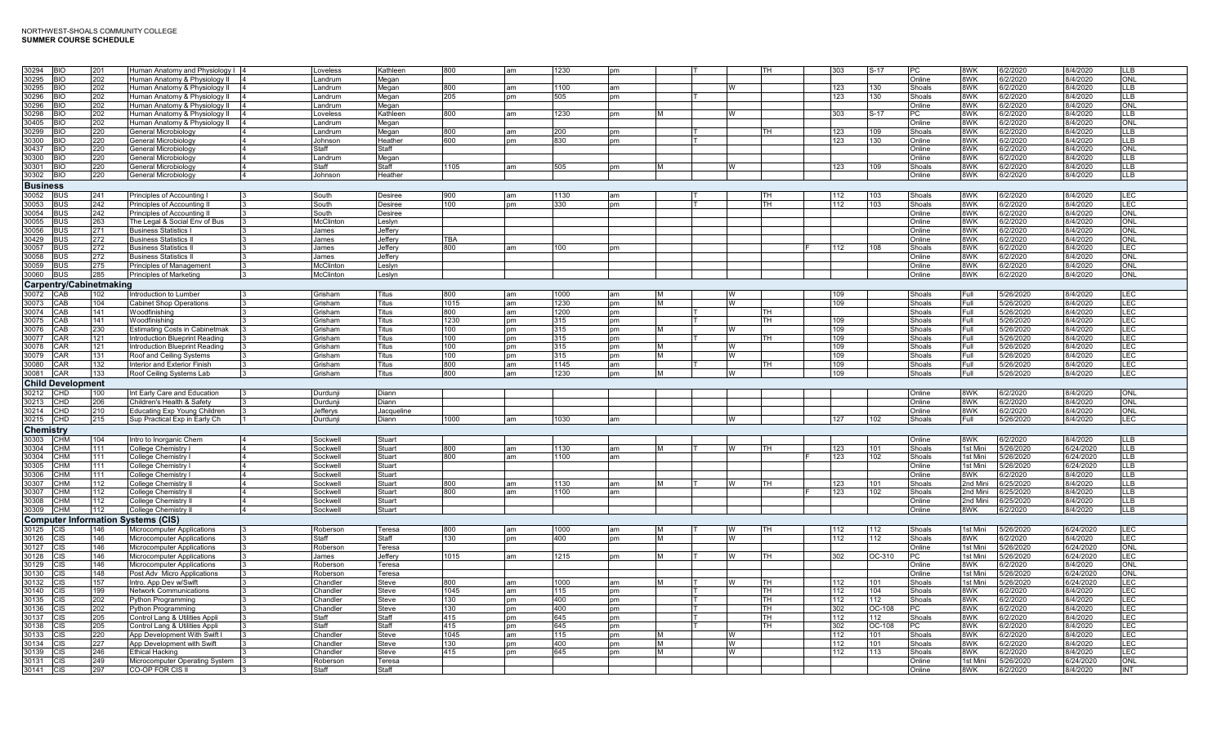| 30294<br><b>IBIO</b>                      | 201  | Human Anatomy and Physiology   4                 |                 | Loveless        | Kathleen   | 800  | am        | 1230 | nт        |          |          | TH.       | 303 | S-17           | PC.           | 8WK      | 6/2/2020  | 8/4/2020  | IIR        |
|-------------------------------------------|------|--------------------------------------------------|-----------------|-----------------|------------|------|-----------|------|-----------|----------|----------|-----------|-----|----------------|---------------|----------|-----------|-----------|------------|
| 30295<br><b>BIO</b>                       | 202  | Human Anatomy & Physiology II                    |                 | Landrum         | Megan      |      |           |      |           |          |          |           |     |                | Online        | 8WK      | 6/2/2020  | 8/4/2020  | ONL        |
| 30295<br><b>BIO</b>                       | 202  | Human Anatomy & Physiology II                    |                 | .andrum         | Megan      | 800  | am        | 1100 | am        |          |          |           | 123 | 130            | Shoals        | 8WK      | 6/2/2020  | 8/4/2020  | LLB        |
| 30296<br>RIO                              | 202  | Human Anatomy & Physiology II                    |                 | andrum.         | Megan      | 205  | pm        | 505  | nm        |          |          |           | 123 | 130            | Shoals        | 8WK      | 6/2/2020  | 8/4/2020  | LLB        |
| 30296<br>RIO.                             | 202  | Human Anatomy & Physiology II<br>$\overline{14}$ |                 | .andrum         | Megan      |      |           |      |           |          |          |           |     |                | Online        | 8WK      | 6/2/2020  | 8/4/2020  | ONL        |
| 30298<br><b>BIO</b>                       | 202  | Human Anatomy & Physiology II                    |                 | Loveless        | Kathleen   | 800  | am        | 1230 | <b>pm</b> | M        | <b>W</b> |           | 303 | S-17           | <b>PC</b>     | 8WK      | 6/2/2020  | 8/4/2020  | <b>LLB</b> |
| 30405<br><b>BIO</b>                       | 202  |                                                  |                 | Landrum         |            |      |           |      |           |          |          |           |     |                | Online        | 8WK      |           | 8/4/2020  | ONL        |
|                                           |      | Human Anatomy & Physiology II                    |                 |                 | Megan      |      |           |      |           |          |          |           |     |                |               |          | 6/2/2020  |           |            |
| 30299<br>BIO                              | 220  | General Microbiology                             |                 | .andrum         | Megan      | 800  | am        | 200  | pm        |          |          |           | 123 | 109            | Shoals        | 8WK      | 6/2/2020  | 8/4/2020  | LLB        |
| 30300<br>BIO                              | 220  | General Microbiology                             | I4              | Johnson         | Heather    | 600  | pm        | 830  | pm        |          |          |           | 123 | 130            | Online        | 8WK      | 6/2/2020  | 8/4/2020  | LLB        |
| 30437<br>IΩ                               | 220  | <b>General Microbiology</b>                      |                 | Staff           | Staff      |      |           |      |           |          |          |           |     |                | Online        | 8WK      | 6/2/2020  | 8/4/2020  | ONL        |
| 30300<br>RΙO                              | 220  | General Microbiology                             | $\overline{4}$  | andrum          | Megan      |      |           |      |           |          |          |           |     |                | Online        | 8WK      | 6/2/2020  | 8/4/2020  | LLB        |
| 30301<br>I BIO                            | 220  | General Microbiology                             | $\overline{14}$ | Staff           | Staff      | 1105 | am        | 505  | pm        | M        | W        |           | 123 | 109            | Shoals        | 8WK      | 6/2/2020  | 8/4/2020  | LLB        |
| 30302<br><b>BIO</b>                       | 220  | General Microbiology                             | $\overline{4}$  | Johnson         | Heather    |      |           |      |           |          |          |           |     |                | Online        | 8WK      | 6/2/2020  | 8/4/2020  | LLB        |
| <b>Business</b>                           |      |                                                  |                 |                 |            |      |           |      |           |          |          |           |     |                |               |          |           |           |            |
|                                           |      |                                                  |                 |                 |            |      |           |      |           |          |          |           |     |                |               |          |           |           |            |
| 30052<br><b>BUS</b>                       | 241  | Principles of Accounting I                       |                 | South           | Desiree    | 900  | am        | 1130 | am        |          |          | TН        | 112 | 103            | Shoals        | 8WK      | 6/2/2020  | 8/4/2020  | LEC        |
| 30053<br><b>BUS</b>                       | 242  | Principles of Accounting                         |                 | South           | Desiree    | 100  | pm        | 330  | pm        |          |          | <b>TH</b> | 112 | 103            | Shoals        | 8WK      | 6/2/2020  | 8/4/2020  | LEC        |
| 30054<br><b>BUS</b>                       | 242  | Principles of Accounting I                       |                 | South           | Desiree    |      |           |      |           |          |          |           |     |                | Online        | 8WK      | 6/2/2020  | 8/4/2020  | ONL        |
| 30055<br><b>BUS</b>                       | 263  | The Legal & Social Env of Bus                    |                 | McClinton       | Leslyn     |      |           |      |           |          |          |           |     |                | Online        | 8WK      | 6/2/2020  | 8/4/2020  | ONL        |
| 30056<br><b>BUS</b>                       | 271  | <b>Business Statistics I</b>                     |                 | James           | Jeffery    |      |           |      |           |          |          |           |     |                | Online        | 8WK      | 6/2/2020  | 3/4/2020  | ONL        |
| 30429<br><b>BUS</b>                       | 272  | <b>Business Statistics I</b>                     |                 | James           | Jeffery    | TBA  |           |      |           |          |          |           |     |                | Online        | 8WK      | 6/2/2020  | 8/4/2020  | ONL        |
| 30057<br><b>BUS</b>                       | 272  | <b>Business Statistics I</b>                     |                 | James           | Jefferv    | 800  | am        | 100  | pm        |          |          |           | 112 | 0 <sub>8</sub> | Shoals        | 8WK      | 6/2/2020  | 8/4/2020  | LEC        |
| 30058<br><b>BUS</b>                       | 272  | Business Statistics I                            |                 | James           | Jefferv    |      |           |      |           |          |          |           |     |                | Online        | 8WK      | 6/2/2020  | 8/4/2020  | ONL        |
| 30059<br><b>BUS</b>                       |      |                                                  |                 | McClinton       |            |      |           |      |           |          |          |           |     |                |               |          |           |           |            |
|                                           | 275  | Principles of Management                         |                 |                 | Leslyn     |      |           |      |           |          |          |           |     |                | Online        | 8WK      | 6/2/2020  | 8/4/2020  | ONL        |
| 30060 BUS                                 | 285  | Principles of Marketing                          |                 | McClinton       | Leslyn     |      |           |      |           |          |          |           |     |                | Online        | 8WK      | 6/2/2020  | 8/4/2020  | ONL        |
| Carpentry/Cabinetmaking                   |      |                                                  |                 |                 |            |      |           |      |           |          |          |           |     |                |               |          |           |           |            |
| 30072<br><b>CAB</b>                       | 102  | Introduction to Lumber                           |                 | Grisham         | Titus      | 800  | am        | 1000 | am        | M        | W        |           | 109 |                | Shoals        | Full     | 5/26/2020 | 8/4/2020  | LEC        |
| 30073<br>CAB                              | 104  | <b>Cabinet Shop Operations</b>                   |                 | <b>Grisham</b>  | Titus      | 1015 | am        | 1230 | pm        | <b>M</b> |          |           | 109 |                | Shoals        | Full     | 5/26/2020 | 8/4/2020  | LEC        |
| 30074<br>CAB                              | 141  | Woodfinishing                                    |                 | <b>Grisham</b>  | Titus      | 800  | am        | 1200 | pm        |          |          | TН        |     |                | <b>Shoals</b> | Full     | 5/26/2020 | 8/4/2020  | LEC        |
| 30075<br>CAB                              |      |                                                  |                 | <b>Grisham</b>  |            |      |           |      |           |          |          | ГH        |     |                |               |          |           | 8/4/2020  |            |
|                                           | 141  | Woodfinishing                                    |                 |                 | Titus      | 1230 | pm        | 315  | pm        |          |          |           | 109 |                | Shoals        | Full     | 5/26/2020 |           | LEC        |
| 30076<br>CAB                              | 230  | <b>Estimating Costs in Cabinetmak</b>            |                 | Grisham         | Titus      | 100  | pm        | 315  | pm        | M        | W        |           | 109 |                | Shoals        | Full     | 5/26/2020 | 8/4/2020  | LEC        |
| 30077<br>CAR                              | 121  | Introduction Blueprint Reading                   |                 | <b>Grisham</b>  | Titus      | 100  | <b>pm</b> | 315  | nm        |          |          | TH.       | 109 |                | Shoals        | Full     | 5/26/2020 | 8/4/2020  | LEC        |
| 30078<br>CAR                              | 121  | Introduction Blueprint Reading                   |                 | <b>Grisham</b>  | Titus      | 100  | pm        | 315  | pm        | M        | W        |           | 109 |                | Shoals        | Full     | 5/26/2020 | 8/4/2020  | LEC        |
| 30079<br>CAR                              | 131  | Roof and Ceiling Systems                         |                 | Grisham         | Titus      | 100  | pm        | 315  | pm        | M        | W        |           | 109 |                | Shoals        | Full     | 5/26/2020 | 8/4/2020  | <b>LEC</b> |
| 30080<br>CAR                              | 132  | Interior and Exterior Finish                     |                 | <b>Grisham</b>  | Titus      | 800  | am        | 1145 | am        |          |          | ГH.       | 109 |                | Shoals        | Full     | 5/26/2020 | 8/4/2020  | LEC        |
|                                           |      |                                                  |                 |                 |            |      |           |      |           |          |          |           |     |                |               |          |           |           |            |
|                                           |      |                                                  |                 |                 |            |      |           |      |           |          |          |           |     |                |               |          |           |           |            |
| 30081<br><b>CAR</b>                       | 133  | Roof Ceiling Systems Lab                         |                 | Grisham         | Titus      | 800  | am        | 1230 | pm        | M        | W        |           | 109 |                | Shoals        | Full     | 5/26/2020 | 8/4/2020  | LEC        |
| <b>Child Development</b>                  |      |                                                  |                 |                 |            |      |           |      |           |          |          |           |     |                |               |          |           |           |            |
| 30212 CHD                                 | 100  | Int Early Care and Education                     | $\mathbf{B}$    | Durdunji        | Diann      |      |           |      |           |          |          |           |     |                | Online        | 8WK      | 6/2/2020  | 8/4/2020  | <b>ONL</b> |
| 30213<br><b>CHD</b>                       | 206  | Children's Health & Safety                       | 3               | Durdunji        | Diann      |      |           |      |           |          |          |           |     |                | Online        | 8WK      | 6/2/2020  | 8/4/2020  | ONL        |
| 30214 CHD                                 | 210  | <b>Educating Exp Young Children</b>              | I٩              | Jefferys        | Jacqueline |      |           |      |           |          |          |           |     |                | Online        | 8WK      | 6/2/2020  | 8/4/2020  | ONL        |
|                                           |      |                                                  | 11              |                 | Diann      | 1000 | am        | 1030 | am        |          | W        |           | 127 | 102            | Shoals        | Full     |           |           | LEC        |
| 30215 CHD                                 | 215  | Sup Practical Exp in Early Ch                    |                 | Durdunji        |            |      |           |      |           |          |          |           |     |                |               |          | 5/26/2020 | 8/4/2020  |            |
| Chemistry                                 |      |                                                  |                 |                 |            |      |           |      |           |          |          |           |     |                |               |          |           |           |            |
| 30303<br><b>CHM</b>                       | 104  | Intro to Inorganic Chem                          | $\overline{4}$  | Sockwell        | Stuart     |      |           |      |           |          |          |           |     |                | Online        | 8WK      | 6/2/2020  | 8/4/2020  | <b>LLB</b> |
| 30304<br><b>CHM</b>                       | 1111 | College Chemistry I                              | $\overline{4}$  | Sockwell        | Stuart     | 800  | am        | 1130 | am        | M        | W        | TH        | 123 | 101            | Shoals        | 1st Mini | 5/26/2020 | 6/24/2020 | LLB        |
| 30304<br><b>CHM</b>                       | 111  | College Chemistry I                              | $\overline{4}$  | Sockwell        | Stuart     | 800  | am        | 1100 | am        |          |          |           | 123 | 102            | Shoals        | 1st Mini | 5/26/2020 | 6/24/2020 | LLB        |
| 30305<br>снм                              | 111  | College Chemistry I                              | $\overline{4}$  | <b>Sockwell</b> | Stuart     |      |           |      |           |          |          |           |     |                | Online        | 1st Mini | 5/26/2020 | 6/24/2020 | LLB        |
| 30306<br>CHM                              | 111  |                                                  | $\overline{4}$  | Sockwell        | Stuart     |      |           |      |           |          |          |           |     |                | Online        | 8WK      |           | 8/4/2020  |            |
|                                           |      | College Chemistry I                              |                 |                 |            |      |           |      |           |          |          |           |     |                |               |          | 6/2/2020  |           | LLB        |
| 30307<br>СНМ                              | 112  | College Chemistry II                             | $\overline{4}$  | Sockwell        | Stuart     | 800  | am        | 1130 | am        | м        | w        | TH        | 123 | 101            | Shoals        | 2nd Mini | 6/25/2020 | 8/4/2020  | LLB        |
| 30307<br>ΩНМ                              | 112  | College Chemistry I                              | $\overline{4}$  | Sockwell        | Stuart     | 800  | am        | 1100 | am        |          |          |           | 123 | 102            | Shoals        | 2nd Min  | 6/25/2020 | 8/4/2020  | LLB        |
| 30308<br>ĴНM                              | 112  | College Chemistry I                              | 14              | <b>Sockwell</b> | Stuart     |      |           |      |           |          |          |           |     |                | Online        | 2nd Mini | 6/25/2020 | 8/4/2020  | LLB        |
| 30309 CHM                                 | 112  | College Chemistry II                             | $\overline{4}$  | Sockwell        | Stuart     |      |           |      |           |          |          |           |     |                | Online        | 8WK      | 6/2/2020  | 8/4/2020  | <b>LLB</b> |
| <b>Computer Information Systems (CIS)</b> |      |                                                  |                 |                 |            |      |           |      |           |          |          |           |     |                |               |          |           |           |            |
|                                           | 146  |                                                  | $\mathsf{I}$    | Roberson        |            | 800  |           |      |           | M        | W        | TH        |     | 112            |               | 1st Mini |           |           |            |
| 30125 CIS                                 |      | Microcomputer Applications                       |                 | <b>Staff</b>    | Teresa     |      | am        | 1000 | am        |          | W        |           | 112 |                | Shoals        |          | 5/26/2020 | 6/24/2020 | LEC        |
| 30126<br><b>CIS</b>                       | 146  | <b>Microcomputer Applications</b>                |                 |                 | Staff      | 130  | pm        | 400  | pm        | M        |          |           | 112 | 112            | Shoals        | 8WK      | 6/2/2020  | 8/4/2020  | LEC        |
| 30127<br><b>CIS</b>                       | 146  | Microcomputer Applications                       |                 | Roberson        | Teresa     |      |           |      |           |          |          |           |     |                | Online        | 1st Mini | 5/26/2020 | 6/24/2020 | ONL        |
| 30128<br>CIS                              | 146  | Microcomputer Applications                       | 13              | James           | Jeffery    | 1015 | am        | 1215 | pm        | M        | <b>W</b> | тн        | 302 | OC-310         | PC            | 1st Mini | 5/26/2020 | 6/24/2020 | LEC        |
| 30129<br><b>CIS</b>                       | 146  | <b>Microcomputer Applications</b>                | 3               | Roberson        | Teresa     |      |           |      |           |          |          |           |     |                | Online        | 8WK      | 6/2/2020  | 8/4/2020  | ONL        |
| 30130<br>CIS                              | 148  | Post Adv Micro Applications                      |                 | Roberson        | Teresa     |      |           |      |           |          |          |           |     |                | Online        | 1st Mini | 5/26/2020 | 6/24/2020 | ONL        |
| 30132<br><b>CIS</b>                       | 157  | Intro. App Dev w/Swift                           |                 | Chandler        | Steve      | 800  | am        | 1000 | am        | м        |          | TH        | 112 | 101            | Shoals        | 1st Mini | 5/26/2020 | 6/24/2020 | LEC        |
| 30140<br><b>CIS</b>                       | 199  | <b>Network Communications</b>                    |                 | Chandler        | Steve      | 1045 | am        | 115  | pm        |          |          | TH        | 112 | 104            | Shoals        | 8WK      | 6/2/2020  | 8/4/2020  | LEC        |
| 30135<br>٦S:                              | 202  | Python Programming                               |                 | <b>Chandler</b> | Steve      | 130  | <b>pm</b> | 400  | pm        |          |          | TH        | 112 | 112            | Shoals        | 8WK      | 6/2/2020  | 8/4/2020  | LEC        |
| 30136<br>CIS                              | 202  | Python Programming                               |                 | Chandler        | Steve      | 130  | pm        | 400  |           |          |          | TH        |     |                | PC            | 8WK      |           | 8/4/2020  |            |
| <b>CIS</b>                                |      |                                                  |                 | Staff           |            |      |           |      | pm        |          |          | тн        | 302 | OC-108         |               |          | 6/2/2020  |           | LEC        |
| 30137                                     | 205  | Control Lang & Utilities Appli                   |                 |                 | Staff      | 415  | pm        | 645  | pm        |          |          |           | 112 | 112            | Shoals        | 8WK      | 6/2/2020  | 8/4/2020  | <b>LEC</b> |
| 30138<br>CIS                              | 205  | Control Lang & Utilities Appli                   |                 | Staff           | Staff      | 415  | pm        | 645  | pm        |          |          | TH        | 302 | OC-108         | PC            | 8WK      | 6/2/2020  | 8/4/2020  | LEC        |
| 30133<br>٦IS                              | 220  | App Development With Swift I                     |                 | Chandle         | Steve      | 1045 | am        | 115  | pm        | м        |          |           | 112 | 101            | Shoals        | 8WK      | 6/2/2020  | 8/4/2020  | LEC        |
| 30134<br>הור                              | 227  | App Development with Swift                       |                 | Chandle         | Steve      | 130  | pm        | 400  | pm        | M        | W        |           | 112 | 101            | Shoals        | 8WK      | 6/2/2020  | 8/4/2020  | LEC        |
| 30139                                     | 246  | Ethical Hacking                                  |                 | Chandle         | Steve      | 415  | n.        | 645  | <b>om</b> | M        |          |           | 112 | 113            | Shoals        | 8WK      | 6/2/2020  | 8/4/2020  | LEC        |
| 30131<br>CIS                              | 249  | Microcomputer Operating System                   |                 | Roberson        | Teresa     |      |           |      |           |          |          |           |     |                | Online        | 1st Mini | 5/26/2020 | 6/24/2020 | ONL        |
| 30141<br><b>CIS</b>                       | 297  | CO-OP FOR CIS II                                 |                 | Staff           | Staff      |      |           |      |           |          |          |           |     |                | Online        | 8WK      | 6/2/2020  | 8/4/2020  | INT        |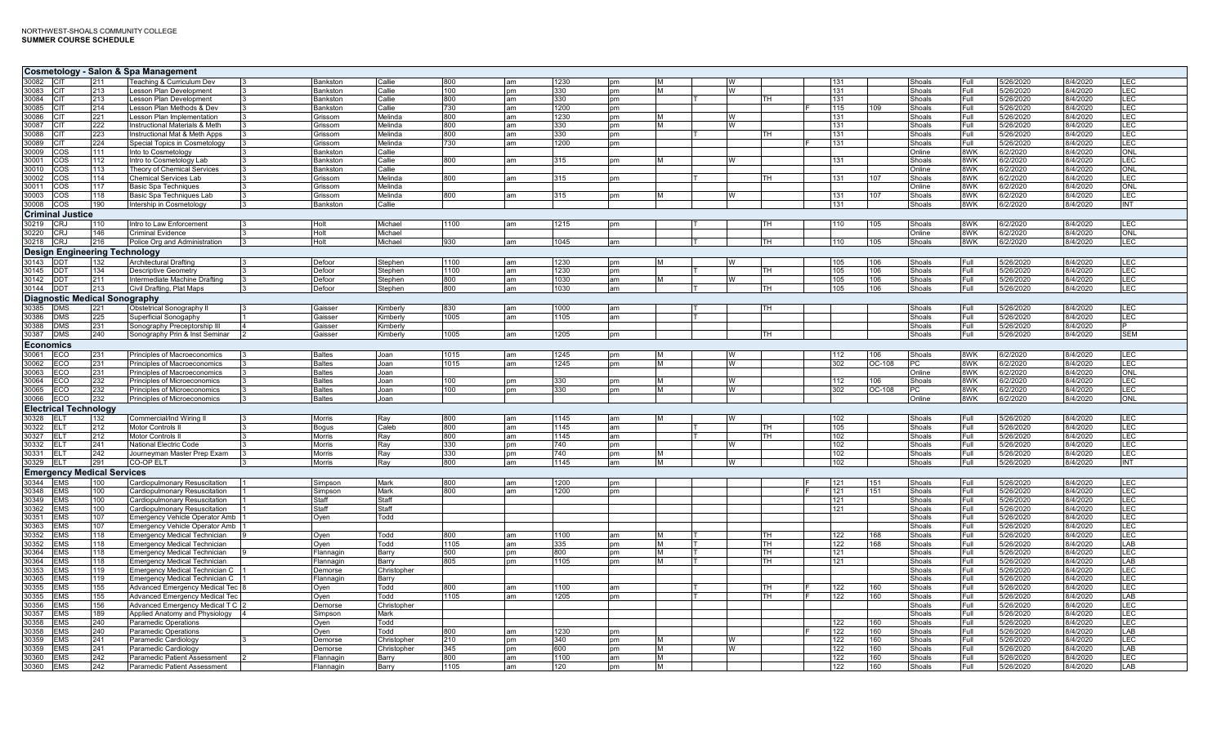|                        |                                      |            | Cosmetology - Salon & Spa Management                               |               |                         |                      |            |               |              |               |   |   |          |            |        |                  |              |                        |                      |                   |
|------------------------|--------------------------------------|------------|--------------------------------------------------------------------|---------------|-------------------------|----------------------|------------|---------------|--------------|---------------|---|---|----------|------------|--------|------------------|--------------|------------------------|----------------------|-------------------|
| 30082 CIT              |                                      | 211        | Teaching & Curriculum Dev                                          |               | Bankston                | Callie               | 800        | am            | 1230         | <sub>pm</sub> |   |   |          | 131        |        | Shoals           | Full         | 5/26/2020              | 8/4/2020             | LEC               |
| 30083 CIT              |                                      | 213        | Lesson Plan Development                                            |               | Bankston                | Callie               | 100        | pm            | 330          | pm            |   | W |          | 131        |        | Shoals           | Full         | 5/26/2020              | 8/4/2020             | LEC               |
| 30084 CIT              |                                      | 213        | Lesson Plan Development                                            |               | Bankston                | Callie               | 800        | am            | 330          | pm            |   |   | TH       | 131        |        | Shoals           | Full         | 5/26/2020              | /4/2020              | LEC               |
| 30085 CIT              |                                      | 214        | Lesson Plan Methods & Dev                                          |               | <b>Bankston</b>         | Callie               | 730        | am            | 1200         | <b>pm</b>     |   |   |          | 115        | 109    | Shoals           | Full.        | 5/26/2020              | 8/4/2020             | LEC               |
| 30086 CIT              |                                      | 221        | Lesson Plan Implementation                                         |               | Grissom                 | Melinda              | 800        | am            | 1230         | pm            |   | W |          | 131        |        | Shoals           | Full         | 5/26/2020              | 8/4/2020             | LEC               |
| 30087 CIT              |                                      | 222        | Instructional Materials & Meth                                     |               | Grissom                 | Melinda              | 800        | am            | 330          | pm            | м | W | тн       | 131        |        | Shoals           | Full         | 5/26/2020              | 8/4/2020             | LEC               |
| 30088 CIT<br>30089 CIT |                                      | 223<br>224 | Instructional Mat & Meth Apps                                      |               | Grissom                 | Melinda<br>Melinda   | 800<br>730 | am            | 330<br>1200  | pm            |   |   |          | 131<br>131 |        | Shoals<br>Shoals | Full<br>Full | 5/26/2020              | 8/4/2020             | LEC<br>LEC        |
| 30009 COS              |                                      | 111        | Special Topics in Cosmetology<br>Into to Cosmetology               |               | Grissom<br>Bankston     | Callie               |            | am            |              | pm            |   |   |          |            |        | Online           | 8WK          | 5/26/2020<br>6/2/2020  | 8/4/2020<br>8/4/2020 | ONL               |
| 30001 COS              |                                      | 112        | Intro to Cosmetology Lab                                           |               | Bankston                | Callie               | 800        | am            | 315          | pm            | м | W |          | 131        |        | Shoals           | 8WK          | 6/2/2020               | 8/4/2020             | LEC               |
| 30010 COS              |                                      | 113        | Theory of Chemical Services                                        | ıз            | Bankston                | Callie               |            |               |              |               |   |   |          |            |        | Online           | 8WK          | 6/2/2020               | 8/4/2020             | ONL               |
| 30002 COS              |                                      | 114        | Chemical Services Lab                                              | 3             | Grissom                 | Melinda              | 800        | am            | 315          | pm            |   |   | тн       | 131        | 107    | Shoals           | 8WK          | 6/2/2020               | 8/4/2020             | LEC               |
| 30011 COS              |                                      | 117        | <b>Basic Spa Techniques</b>                                        |               | Grissom                 | Melinda              |            |               |              |               |   |   |          |            |        | Online           | 8WK          | 6/2/2020               | 8/4/2020             | ONL               |
| 30003 COS              |                                      | 118        | Basic Spa Techniques Lab                                           | $\mathbf{R}$  | Grissom                 | Melinda              | 800        | am            | 315          | pm            | M | W |          | 131        | 107    | Shoals           | 8WK          | 6/2/2020               | 8/4/2020             | <b>LEC</b>        |
| 30008 COS              |                                      | 190        | Intership in Cosmetology                                           | $\mathbf{B}$  | Bankston                | Callie               |            |               |              |               |   |   |          | 131        |        | Shoals           | 8WK          | 6/2/2020               | 8/4/2020             | <b>INT</b>        |
|                        | <b>Criminal Justice</b>              |            |                                                                    |               |                         |                      |            |               |              |               |   |   |          |            |        |                  |              |                        |                      |                   |
| 30219 CRJ              |                                      | 110        | Intro to Law Enforcement                                           |               | Holt                    | Michael              | 1100       | am            | 1215         | pm            |   |   | ΤН       | 110        | 105    | Shoals           | 8WK          | 6/2/2020               | 8/4/2020             | <b>LEC</b>        |
| 30220 CRJ              |                                      | 146        | Criminal Evidence                                                  |               | Holt                    | Michael              |            |               |              |               |   |   |          |            |        | Online           | 8WK          | 6/2/2020               | 8/4/2020             | ONL               |
| 30218 CRJ              |                                      | 216        | Police Org and Administration                                      | $\mathbf{13}$ | Holt                    | Michael              | 930        | lam           | 1045         | am            |   |   | TH       | 110        | 105    | Shoals           | 8WK          | 6/2/2020               | 8/4/2020             | LEC               |
|                        | Design Engineering Technology        |            |                                                                    |               |                         |                      |            |               |              |               |   |   |          |            |        |                  |              |                        |                      |                   |
| 30143 DDT              |                                      | 132        | Architectural Drafting                                             |               | Defoor                  | Stephen              | 1100       | am            | 1230         | pm            |   | W |          | 105        | 106    | Shoals           | Full         | 5/26/2020              | 8/4/2020             | LEC               |
| 30145 DDT              |                                      | 134        | Descriptive Geometry                                               |               | Defoor                  | Stephen              | 1100       | am            | 1230         | pm            |   |   | тн       | 105        | 106    | Shoals           | Full         | 5/26/2020              | 8/4/2020             | LEC               |
| 30142 DDT              |                                      | 211        | Intermediate Machine Drafting                                      |               | Defoor                  | Stephen              | 800        | lam           | 1030         | am            |   | W |          | 105        | 106    | Shoals           | Full         | 5/26/2020              | 8/4/2020             | <b>LEC</b>        |
| 30144 DDT              |                                      | 213        | Civil Drafting, Plat Maps                                          |               | Defoor                  | Stephen              | 800        | am            | 1030         | am            |   |   | lТH      | 105        | 106    | Shoals           | Full         | 5/26/2020              | 8/4/2020             | <b>LEC</b>        |
|                        | <b>Diagnostic Medical Sonography</b> |            |                                                                    |               |                         |                      |            |               |              |               |   |   |          |            |        |                  |              |                        |                      |                   |
| 30385 DMS              |                                      | 221        | Obstetrical Sonography II                                          | $\mathbf{B}$  | Gaisser                 | Kimberly             | 830        | lam           | 1000         | lam           |   |   | lТH      |            |        | Shoals           | Full         | 5/26/2020              | 8/4/2020             | <b>LEC</b>        |
| 30386                  | <b>DMS</b>                           | 225        | Superficial Sonogaphy                                              |               | Gaisser                 | Kimberly             | 1005       | am            | 1105         | am            |   |   |          |            |        | Shoals           | Full         | 5/26/2020              | 8/4/2020             | <b>LEC</b>        |
| 30388 DMS              |                                      | 231        | Sonography Preceptorship III                                       |               | Gaisser                 | Kimberly             |            |               |              |               |   |   |          |            |        | Shoals           | Full         | 5/26/2020              | 8/4/2020             |                   |
| 30387 DMS              |                                      | 240        | Sonography Prin & Inst Seminar                                     |               | Gaisser                 | Kimberly             | 1005       | am            | 1205         | pm            |   |   | тн       |            |        | Shoals           | Full         | 5/26/2020              | 8/4/2020             | <b>SEM</b>        |
| <b>Economics</b>       |                                      |            |                                                                    |               |                         |                      |            |               |              |               |   |   |          |            |        |                  |              |                        |                      |                   |
| 30061 ECO              |                                      | 231        | Principles of Macroeconomics                                       |               | <b>Baltes</b>           | Joan                 | 1015       | am            | 1245         | pm            |   | W |          | 112        | 106    | Shoals           | 8WK          | 6/2/2020               | 8/4/2020             | LEC               |
| 30062 ECO              |                                      | 231        | Principles of Macroeconomics                                       |               | <b>Baltes</b>           | Joan                 | 1015       | am            | 1245         | pm            |   | W |          | 302        | OC-108 | PC               | 8WK          | 6/2/2020               | 8/4/2020             | LEC               |
| 30063 ECO              |                                      | 231        | Principles of Macroeconomics                                       |               | Baltes                  | Joan                 |            |               |              |               |   |   |          |            |        | Online           | 8WK          | 6/2/2020               | 8/4/2020             | ONL               |
| 30064 ECO              |                                      | 232        | Principles of Microeconomics                                       |               | <b>Baltes</b>           | Joan                 | 100        | pm            | 330          | pm            | M | W |          | 112        | 106    | Shoals           | 8WK          | 6/2/2020               | 8/4/2020             | LEC               |
| 30065 ECO<br>30066 ECO |                                      | 232<br>232 | Principles of Microeconomics<br>Principles of Microeconomics       | 13            | Baltes<br><b>Baltes</b> | Joan<br>Joan         | 100        | <b>pm</b>     | 330          | pm            | м | W |          | 302        | OC-108 | PC<br>Online     | 8WK<br>8WK   | 6/2/2020<br>6/2/2020   | 8/4/2020<br>8/4/2020 | LEC<br><b>ONL</b> |
|                        |                                      |            |                                                                    |               |                         |                      |            |               |              |               |   |   |          |            |        |                  |              |                        |                      |                   |
|                        | <b>Electrical Technology</b>         |            |                                                                    |               |                         |                      |            |               |              |               |   |   |          |            |        |                  |              |                        |                      |                   |
| 30328 ELT              |                                      | 132        | Commercial/Ind Wiring II                                           |               | <b>Morris</b>           | Ray                  | 800        | am            | 1145         | am            |   | W |          | 102        |        | Shoals           | Full         | 5/26/2020              | 8/4/2020             | LEC               |
| 30322 ELT<br>30327 ELT |                                      | 212<br>212 | Motor Controls II<br>Motor Controls II                             | ıз            | <b>Bogus</b><br>Morris  | Caleb<br>Ray         | 800<br>800 | am<br>am      | 1145<br>1145 | am<br>am      |   |   | тн<br>тн | 105<br>102 |        | Shoals<br>Shoals | Full<br>Full | 5/26/2020<br>5/26/2020 | 8/4/2020<br>8/4/2020 | LEC<br>LEC        |
| 30332 ELT              |                                      | 241        | National Electric Code                                             |               | Morris                  | Rav                  | 330        | pm            | 740          | pm            |   | W |          | 102        |        | Shoals           | Full         | 5/26/2020              | 8/4/2020             | LEC               |
| 30331 ELT              |                                      | 242        | Journeyman Master Prep Exam                                        |               | Morris                  | Ray                  | 330        | pm            | 740          | pm            |   |   |          | 102        |        | Shoals           | Full         | 5/26/2020              | 8/4/2020             | <b>LEC</b>        |
| 30329 ELT              |                                      | 291        | CO-OP ELT                                                          |               | Morris                  | Ray                  | 800        | am            | 1145         | am            | м | W |          | 102        |        | Shoals           | Full         | 5/26/2020              | 8/4/2020             | INT               |
|                        | <b>Emergency Medical Services</b>    |            |                                                                    |               |                         |                      |            |               |              |               |   |   |          |            |        |                  |              |                        |                      |                   |
| 30344 EMS              |                                      | 100        | Cardiopulmonary Resuscitation                                      |               | Simpson                 | Mark                 | 800        | am            | 1200         | pm            |   |   |          | 121        | 151    | Shoals           | Full         | 5/26/2020              | 8/4/2020             | LEC               |
| 30348 EMS              |                                      | 100        | Cardiopulmonary Resuscitation                                      |               | Simpson                 | Mark                 | 800        | am            | 1200         | nm            |   |   |          | 121        | 151    | Shoals           | Full         | 5/26/2020              | 8/4/2020             | LEC.              |
| 30349 EMS              |                                      | 100        | Cardiopulmonary Resuscitation                                      |               | Staff                   | Staff                |            |               |              |               |   |   |          | 121        |        | Shoals           | Full         | 5/26/2020              | 8/4/2020             | LEC               |
| 30362 EMS              |                                      | 100        | Cardiopulmonary Resuscitation                                      |               | Staff                   | Staff                |            |               |              |               |   |   |          | 121        |        | Shoals           | Full         | 5/26/2020              | 8/4/2020             | LEC               |
| 30351                  | <b>EMS</b>                           | 107        | Emergency Vehicle Operator Amb                                     |               | Oyen                    | Todd                 |            |               |              |               |   |   |          |            |        | Shoals           | Full         | 5/26/2020              | 8/4/2020             | LEC               |
| 30363 EMS              |                                      | 107        | Emergency Vehicle Operator Amb                                     |               |                         |                      |            |               |              |               |   |   |          |            |        | Shoals           | Full         | 5/26/2020              | 8/4/2020             | LEC               |
| 30352 EMS              |                                      | 118        | Emergency Medical Technician                                       |               | Oyen                    | Todd                 | 800        | am            | 1100         | am            |   |   | тн       | 122        | 168    | Shoals           | Full         | 5/26/2020              | 8/4/2020             | LEC               |
| 30352 EMS              |                                      | 118        | <b>Emergency Medical Technician</b>                                |               | Oven                    | Todd                 | 1105       | am            | 335          | <b>pm</b>     | M |   | TH       | 122        | 68     | Shoals           | Full         | 5/26/2020              | 3/4/2020             | LAB               |
| 30364 EMS              |                                      | 118        | <b>Emergency Medical Technician</b>                                |               | Flannagin               | Barry                | 500        | pm            | 800<br>1105  | pm            | м |   | TH<br>тн | 121        |        | Shoals           | Full         | 5/26/2020<br>5/26/2020 | 8/4/2020<br>8/4/2020 | LEC<br>LAB        |
| 30364 EMS<br>30353 EMS |                                      | 118<br>119 | <b>Emergency Medical Technician</b>                                |               | Flannagin<br>Demorse    | Barry<br>Christopher | 805        | <sub>pm</sub> |              | pm            |   |   |          | 121        |        | Shoals<br>Shoals | Full<br>Full | 5/26/2020              | 8/4/2020             | <b>LEC</b>        |
| 30365 EMS              |                                      | 119        | Emergency Medical Technician C<br>Emergency Medical Technician C 1 |               | Flannagin               | Barry                |            |               |              |               |   |   |          |            |        | Shoals           | Full         | 5/26/2020              | 8/4/2020             | <b>LEC</b>        |
| 30355 EMS              |                                      | 155        | Advanced Emergency Medical Tec 8                                   |               | Oven                    | Todd                 | 800        | am            | 1100         | am            |   |   | TH       | 122        | 160    | Shoals           | Full         | 5/26/2020              | 8/4/2020             | LEC               |
| 30355 EMS              |                                      | 155        | Advanced Emergency Medical Tec                                     |               | Oyen                    | Todd                 | 1105       | am            | 1205         | <b>pm</b>     |   |   | TH       | 122        | 60     | Shoals           | Full         | 5/26/2020              | 8/4/2020             | LAB               |
| 30356 EMS              |                                      | 156        | Advanced Emergency Medical T C 2                                   |               | Demorse                 | Christopher          |            |               |              |               |   |   |          |            |        | Shoals           | Full         | 5/26/2020              | 8/4/2020             | LEC               |
| 30357 EMS              |                                      | 189        | Applied Anatomy and Physiology                                     |               | Simpson                 | Mark                 |            |               |              |               |   |   |          |            |        | Shoals           | Full         | 5/26/2020              | 8/4/2020             | LEC               |
| 30358 EMS              |                                      | 240        | Paramedic Operations                                               |               | Oven                    | Todd                 |            |               |              |               |   |   |          | 122        | 160    | Shoals           | Full         | 5/26/2020              | 8/4/2020             | LEC               |
| 30358 EMS              |                                      | 240        | Paramedic Operations                                               |               | Oven                    | Todd                 | 800        | am            | 1230         | pm            |   |   |          | 122        | 160    | Shoals           | Full         | 5/26/2020              | 8/4/2020             | LAB               |
| 30359 EMS              |                                      | 241        | Paramedic Cardiology                                               |               | Demorse                 | Christopher          | 210        | <b>pm</b>     | 340          | <sub>pm</sub> |   | W |          | 122        | 160    | Shoals           | Full         | 5/26/2020              | 8/4/2020             | LEC               |
| 30359 EMS              |                                      | 241        | Paramedic Cardiology                                               |               | Demorse                 | Christopher          | 345        | <b>pm</b>     | 600          | <b>pm</b>     |   | w |          | 122        | 60     | Shoals           | Full         | 5/26/2020              | /4/2020              | LAB               |
| 30360 EMS              |                                      | 242        | Paramedic Patient Assessment                                       |               | Flannagin               | Barry                | 800        | am            | 1100         | am            | м |   |          | 122        | 160    | Shoals           | Full         | 5/26/2020              | 8/4/2020             | LEC               |
| 30360 EMS              |                                      | 242        | Paramedic Patient Assessment                                       |               | Flannagin               | Barry                | 1105       | am            | 120          | pm            | M |   |          | 122        | 160    | Shoals           | Full         | 5/26/2020              | 8/4/2020             | LAB               |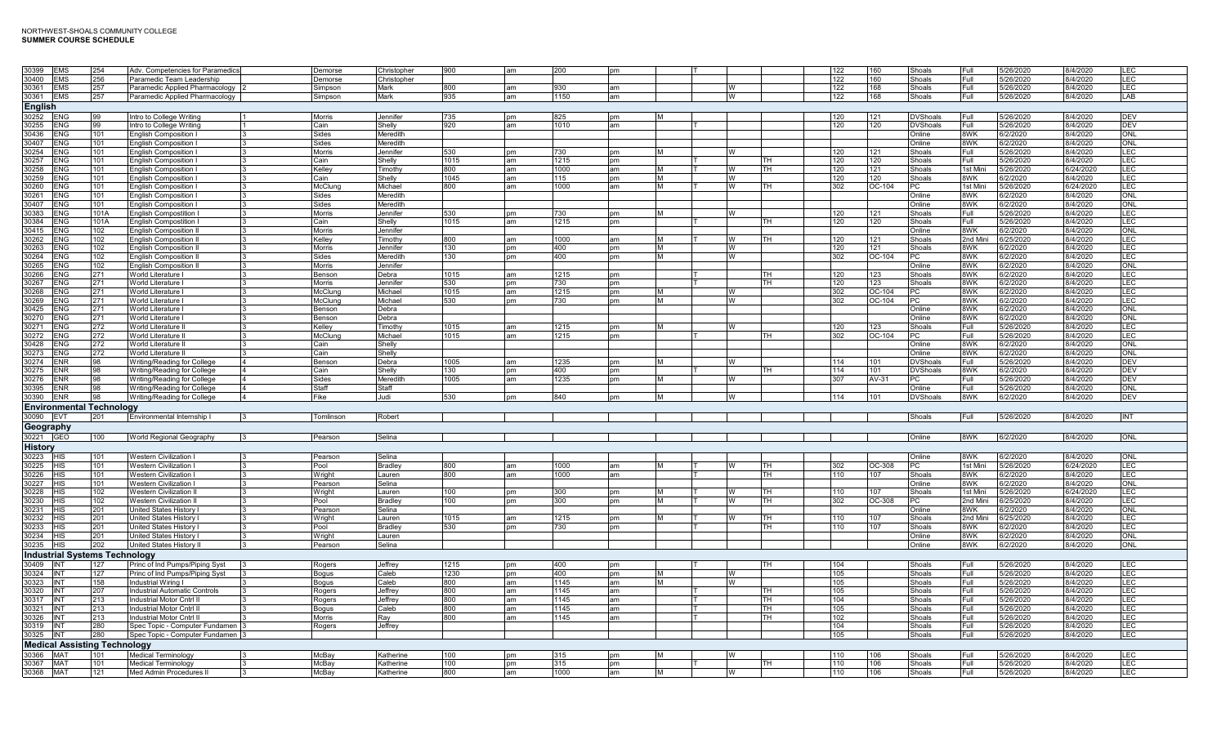| 30399          | <b>EMS</b>      | 254                                  | Adv. Competencies for Paramedics |                         | Demorse       | Christopher | 900  | am        | 200  | <b>pm</b>     |           |   |    | 122 | 160      | Shoals          | Full     | 5/26/2020 | 3/4/2020  | <b>LEC</b> |
|----------------|-----------------|--------------------------------------|----------------------------------|-------------------------|---------------|-------------|------|-----------|------|---------------|-----------|---|----|-----|----------|-----------------|----------|-----------|-----------|------------|
| 30400          | <b>EMS</b>      | 256                                  | Paramedic Team Leadership        |                         | Demorse       | Christopher |      |           |      |               |           |   |    | 122 | 160      | Shoals          | Full     | 5/26/2020 | 14/2020   | <b>LEC</b> |
| 30361          | <b>EMS</b>      | 257                                  | Paramedic Applied Pharmacology   |                         | Simpson       | Mark        | 800  | am        | 930  | am            |           | W |    | 122 | 168      | Shoals          | Full     | 5/26/2020 | 8/4/2020  | LEC        |
|                |                 |                                      |                                  |                         |               |             |      |           |      |               |           |   |    |     |          |                 |          |           |           |            |
| 30361          | <b>EMS</b>      | 257                                  | Paramedic Applied Pharmacology   |                         | Simpson       | Mark        | 935  | am        | 1150 | am            |           | W |    | 122 | 168      | Shoals          | Full     | 5/26/2020 | 8/4/2020  | LAB        |
| <b>English</b> |                 |                                      |                                  |                         |               |             |      |           |      |               |           |   |    |     |          |                 |          |           |           |            |
| 30252 ENG      |                 | 99                                   | Intro to College Writing         |                         | Morris        | Jennifer    | 735  | pm        | 825  | pm            |           |   |    | 120 | 121      | <b>DVShoals</b> | Full     | 5/26/2020 | 8/4/2020  | <b>DEV</b> |
| 30255          |                 |                                      |                                  |                         |               |             |      |           |      |               |           |   |    |     |          |                 |          |           |           |            |
|                | <b>ENG</b>      | 99                                   | Intro to College Writing         |                         | Cain          | Shelly      | 920  | am        | 1010 | am            |           |   |    | 120 | 120      | <b>DVShoals</b> | Full     | 5/26/2020 | 3/4/2020  | <b>DEV</b> |
| 30436          | <b>ENG</b>      | 101                                  | <b>English Composition I</b>     |                         | Sides         | Meredith    |      |           |      |               |           |   |    |     |          | Online          | 8WK      | 6/2/2020  | 3/4/2020  | <b>ONL</b> |
| 30407          | <b>ENG</b>      | 101                                  | English Composition I            |                         | Sides         | Meredith    |      |           |      |               |           |   |    |     |          | Online          | 8WK      | 6/2/2020  | 8/4/2020  | <b>ONL</b> |
| 30254          | <b>ENG</b>      | 101                                  | <b>English Composition I</b>     |                         | <b>Morris</b> | Jennifer    | 530  | <b>pm</b> | 730  | pm            | IM.       | W |    | 120 | 121      | Shoals          | Full     | 5/26/2020 | 8/4/2020  | <b>LEC</b> |
| 30257          | <b>ENG</b>      | 101                                  | <b>Enalish Composition I</b>     |                         | Cain          | Shellv      | 1015 | am        | 215  | pm            |           |   | тн | 120 | 120      | Shoals          | Full     | 5/26/2020 | 3/4/2020  | <b>LEC</b> |
|                |                 |                                      |                                  |                         |               |             |      |           |      |               |           |   |    |     |          |                 |          |           |           |            |
| 30258          | <b>ENG</b>      | 101                                  | English Composition I            |                         | Kellev        | Timothy     | 800  | am        | 000  | am            | M         | W | тн | 120 | 121      | Shoals          | 1st Mini | 5/26/2020 | 3/24/2020 | LEC        |
| 30259          | <b>ENG</b>      | 101                                  | <b>English Composition I</b>     |                         | Cain          | Shelly      | 1045 | am        | 115  | pm            | M         | W |    | 120 | 120      | Shoals          | 8WK      | 6/2/2020  | 3/4/2020  | <b>LEC</b> |
| 30260          | <b>ENG</b>      | 101                                  | <b>English Composition I</b>     |                         | McClung       | Michael     | 800  | am        | 1000 | am            | IM.       | W | TН | 302 | OC-104   | PC              | 1st Mini | 5/26/2020 | 3/24/2020 | <b>LEC</b> |
| 30261          | <b>ENG</b>      | 101                                  | <b>English Composition I</b>     |                         | Sides         | Meredith    |      |           |      |               |           |   |    |     |          | Online          | 8WK      | 6/2/2020  | 3/4/2020  | <b>ONL</b> |
| 30407          | <b>ENG</b>      | 101                                  | English Composition I            |                         | Sides         | Meredith    |      |           |      |               |           |   |    |     |          | Online          | 8WK      | 6/2/2020  | 8/4/2020  | ONL        |
|                |                 |                                      |                                  |                         |               |             |      |           |      |               |           |   |    |     |          |                 |          |           |           |            |
| 30383          | <b>ENG</b>      | 101A                                 | English Compostition I           |                         | Morris        | Jennifer    | 530  | pm        | 730  | pm            | <b>M</b>  | W |    | 120 | 121      | Shoals          | Full     | 5/26/2020 | 8/4/2020  | <b>LEC</b> |
| 30384          | <b>ENG</b>      | 101A                                 | English Compostition I           |                         | Cain          | Shelly      | 1015 | am        | 1215 | pm            |           |   | тн | 120 | 120      | Shoals          | Full     | 5/26/2020 | 8/4/2020  | LEC        |
| 30415          | ENG.            | 102                                  | <b>Enalish Composition II</b>    |                         | <b>Morris</b> | Jennifer    |      |           |      |               |           |   |    |     |          | Online          | 8WK      | 6/2/2020  | 8/4/2020  | ONL        |
| 30262          | <b>ENG</b>      | 102                                  | <b>English Composition II</b>    |                         | Kelley        | Timothy     | 800  | am        | 1000 | am            | IM.       | w | тн | 120 | 121      | Shoals          | 2nd Min  | 6/25/2020 | 8/4/2020  | LEC        |
|                |                 |                                      |                                  |                         |               |             |      |           |      |               |           |   |    |     |          |                 |          |           |           |            |
| 30263          | <b>ENG</b>      | 102                                  | <b>English Composition II</b>    |                         | <b>Morris</b> | Jennifer    | 130  | pm        | 400  | pm            | <b>IM</b> | W |    | 120 | 121      | Shoals          | 8WK      | 6/2/2020  | 8/4/2020  | <b>LEC</b> |
| 30264          | <b>ENG</b>      | 102                                  | <b>English Composition II</b>    |                         | Sides         | Meredith    | 130  | <b>pm</b> | 400  | pm            | M         | W |    | 302 | OC-104   | PC              | 8WK      | 6/2/2020  | 8/4/2020  | LEC        |
| 30265          | <b>ENG</b>      | 102                                  | <b>English Composition II</b>    |                         | <b>Morris</b> | Jennifer    |      |           |      |               |           |   |    |     |          | Online          | 8WK      | 6/2/2020  | 3/4/2020  | <b>ONL</b> |
| 30266          | ENG             | 271                                  | World Literature I               |                         | Benson        | Debra       | 1015 | am        | 1215 | pm            |           |   | TН | 120 | 123      | Shoals          | 8WK      | 6/2/2020  | 8/4/2020  | LEC        |
| 30267          | <b>ENG</b>      | 271                                  | World Literature I               |                         | <b>Morris</b> | Jennifer    | 530  | <b>pm</b> | 730  | pm            |           |   | TH | 120 | 123      | Shoals          | 8WK      | 6/2/2020  | 8/4/2020  | LEC        |
|                |                 |                                      |                                  |                         |               |             |      |           |      |               |           |   |    |     |          |                 |          |           |           |            |
| 30268          | <b>ENG</b>      | 271                                  | World Literature I               |                         | McClung       | Michael     | 1015 | am        | 1215 | <b>pm</b>     |           |   |    | 302 | OC-104   | PC.             | 8WK      | 6/2/2020  | 8/4/2020  | LEC        |
| 30269          | <b>ENG</b>      | 271                                  | World Literature L               |                         | McClung       | Michael     | 530  | pm        | 730  | <sub>nm</sub> | IM.       | W |    | 302 | $OC-104$ | PC.             | 8WK      | 6/2/2020  | 8/4/2020  | <b>LEC</b> |
| 30425          | <b>ENG</b>      | 271                                  | World Literature I               |                         | Benson        | Debra       |      |           |      |               |           |   |    |     |          | Online          | 8WK      | 6/2/2020  | 8/4/2020  | ONL        |
| 30270          | <b>ENG</b>      | 271                                  | World Literature I               |                         | Benson        | Debra       |      |           |      |               |           |   |    |     |          | Online          | 8WK      | 6/2/2020  | 8/4/2020  | ONL        |
| 30271          | <b>ENG</b>      | 272                                  | World Literature II              |                         | Kelley        | Timothy     | 1015 | am        | 1215 | pm            | M         | W |    | 120 | 123      | Shoals          | Full     | 5/26/2020 | 8/4/2020  | <b>LEC</b> |
|                |                 |                                      |                                  |                         |               |             |      |           |      |               |           |   |    |     |          |                 |          |           |           |            |
| 30272          | <b>ENG</b>      | 272                                  | World Literature II              |                         | McClung       | Michael     | 1015 | am        | 1215 | pm            |           |   | TН | 302 | $OC-104$ | PC              | Full     | 5/26/2020 | 8/4/2020  | LEC        |
| 30428          | <b>ENG</b>      | 272                                  | World Literature II              |                         | Cain          | Shelly      |      |           |      |               |           |   |    |     |          | Online          | 8WK      | 6/2/2020  | 8/4/2020  | ONL        |
| 30273          | <b>ENG</b>      | 272                                  | World Literature II              |                         | Cain          | Shelly      |      |           |      |               |           |   |    |     |          | Online          | 8WK      | 6/2/2020  | 8/4/2020  | <b>ONL</b> |
| 30274          | ENR             | 98                                   | Writing/Reading for College      |                         | Benson        | Debra       | 1005 | am        | 1235 | <b>pm</b>     | IM.       | W |    | 114 | 101      | <b>DVShoals</b> | Full     | 5/26/2020 | 8/4/2020  | <b>DEV</b> |
|                |                 |                                      |                                  |                         |               |             |      |           |      |               |           |   |    |     |          |                 |          |           |           |            |
| 30275          | ENR             | 98                                   | Writing/Reading for College      |                         | Cain          | Shelly      | 130  | pm        | 400  | pm            |           |   | тн | 114 | 101      | <b>DVShoals</b> | 8WK      | 6/2/2020  | 8/4/2020  | <b>DEV</b> |
| 30276          | <b>ENR</b>      | 98                                   | Writing/Reading for College      |                         | Sides         | Meredith    | 1005 | am        | 1235 | pm            | M         | W |    | 307 | AV-31    | PС              | Full     | 5/26/2020 | 8/4/2020  | <b>DEV</b> |
| 30395          | ENR             | 98                                   | Writing/Reading for College      |                         | Staff         | Staff       |      |           |      |               |           |   |    |     |          | Online          | Full     | 5/26/2020 | 8/4/2020  | ONL        |
| 30390          | <b>ENR</b>      | 98                                   | Writing/Reading for College      |                         | Fike          | Judi        | 530  | pm        | 840  | pm            | <b>M</b>  | W |    | 114 | 101      | <b>DVShoals</b> | 8WK      | 6/2/2020  | 8/4/2020  | <b>DEV</b> |
|                |                 |                                      |                                  |                         |               |             |      |           |      |               |           |   |    |     |          |                 |          |           |           |            |
|                |                 |                                      |                                  |                         |               |             |      |           |      |               |           |   |    |     |          |                 |          |           |           |            |
| 30090 EVT      |                 | <b>Environmental Technology</b>      |                                  |                         |               |             |      |           |      |               |           |   |    |     |          |                 |          |           |           |            |
|                |                 | 201                                  | Environmental Internship I       | 3                       | Tomlinson     | Robert      |      |           |      |               |           |   |    |     |          | Shoals          | Full     | 5/26/2020 | 8/4/2020  | <b>INT</b> |
|                |                 |                                      |                                  |                         |               |             |      |           |      |               |           |   |    |     |          |                 |          |           |           |            |
|                | Geography       |                                      |                                  |                         |               |             |      |           |      |               |           |   |    |     |          |                 |          |           |           |            |
| 30221 GEO      |                 | 100                                  | World Regional Geography         | 3                       | Pearson       | Selina      |      |           |      |               |           |   |    |     |          | Online          | 8WK      | 6/2/2020  | 8/4/2020  | ONL        |
|                |                 |                                      |                                  |                         |               |             |      |           |      |               |           |   |    |     |          |                 |          |           |           |            |
| <b>History</b> |                 |                                      |                                  |                         |               |             |      |           |      |               |           |   |    |     |          |                 |          |           |           |            |
| 30223 HIS      |                 | 101                                  | <b>Western Civilization I</b>    |                         | Pearson       | Selina      |      |           |      |               |           |   |    |     |          | Online          | 8WK      | 6/2/2020  | 8/4/2020  | <b>ONL</b> |
| 30225          | <b>IHIS</b>     | 101                                  | Western Civilization I           |                         | Pool          | Bradley     | 800  | am        | 1000 | am            |           | W | ΤН | 302 | OC-308   | РC              | 1st Mini | 5/26/2020 | 3/24/2020 | LEC        |
| 30226 HIS      |                 | 101                                  | Western Civilization I           |                         | Wright        | Lauren      | 800  | am        | 000  | am            |           |   | TH | 110 | 107      | Shoals          | 8WK      | 6/2/2020  | 3/4/2020  | <b>LEC</b> |
| 30227 HIS      |                 | 101                                  | Western Civilization I           |                         | Pearson       | Selina      |      |           |      |               |           |   |    |     |          | Online          | 8WK      | 6/2/2020  | 3/4/2020  | ONL        |
|                |                 |                                      |                                  |                         |               |             |      |           |      |               |           |   |    |     |          |                 |          |           |           |            |
| 30228          | <b>IHIS</b>     | 102                                  | Western Civilization II          |                         | Wright        | Lauren      | 100  | pm        | 300  | pm            |           | W | TH | 110 | 107      | Shoals          | 1st Mini | 126/2020  | 124/2020  | LEC        |
| 30230          | <b>HIS</b>      | 102                                  | <b>Western Civilization II</b>   |                         | Pool          | Bradley     | 100  | pm        | 300  | pm            |           | W | TH | 302 | OC-308   | РC              | 2nd Mini | /25/2020  | 3/4/2020  | LEC        |
| 30231          | <b>HIS</b>      | 201                                  | United States History I          |                         | Pearson       | Selina      |      |           |      |               |           |   |    |     |          | Online          | 8WK      | 3/2/2020  | 8/4/2020  | ONL        |
| 30232          | <b>HIS</b>      | 201                                  | United States History            |                         | Wright        | Lauren      | 1015 | am        | 1215 | pm            |           | w | TН | 110 | 107      | Shoals          | 2nd Min  | 6/25/2020 | 8/4/2020  | <b>LEC</b> |
| 30233          | HIS             | 201                                  | United States History I          |                         | Pool          | Bradley     | 530  | pm        | 730  | pm            |           |   | TН | 110 | 107      | Shoals          |          |           |           | <b>LEC</b> |
|                |                 |                                      |                                  | $\overline{\mathbf{z}}$ |               |             |      |           |      |               |           |   |    |     |          |                 | 8WK      | 6/2/2020  | 8/4/2020  |            |
| 30234          | <b>HIS</b>      | 201                                  | United States History I          |                         | Wright        | Lauren      |      |           |      |               |           |   |    |     |          | Online          | 8WK      | 6/2/2020  | 8/4/2020  | ONL        |
| 30235 HIS      |                 | 202                                  | United States History II         |                         | Pearson       | Selina      |      |           |      |               |           |   |    |     |          | Online          | 8WK      | 6/2/2020  | 8/4/2020  | ONL        |
|                |                 |                                      |                                  |                         |               |             |      |           |      |               |           |   |    |     |          |                 |          |           |           |            |
|                |                 | <b>Industrial Systems Technology</b> |                                  |                         |               |             |      |           |      |               |           |   |    |     |          |                 |          |           |           |            |
| 30409 INT      |                 | 127                                  | Princ of Ind Pumps/Piping Syst   |                         | Rogers        | Jeffrey     | 1215 | pm        | 400  | pm            |           |   | TН | 104 |          | Shoals          | Full     | 5/26/2020 | 8/4/2020  | <b>LEC</b> |
| 30324 INT      |                 | 127                                  | Princ of Ind Pumps/Piping Syst   |                         | <b>Bogus</b>  | Caleb       | 1230 | pm        | 400  | pm            | <b>M</b>  | W |    | 105 |          | Shoals          | Full     | 5/26/2020 | 8/4/2020  | LEC        |
| 30323 INT      |                 | 158                                  | Industrial Wiring I              |                         | Bogus         | Caleb       | 800  | am        | 1145 | am            | <b>IM</b> | W |    | 105 |          | Shoals          | Full     | 5/26/2020 | 8/4/2020  | LEC        |
| 30320          | <b>INT</b>      | 207                                  | ndustrial Automatic Controls     |                         | Rogers        | Jeffrev     | 800  | am        | 1145 | am            |           |   | TH | 105 |          | Shoals          | Full     | 5/26/2020 | 8/4/2020  | LEC        |
| 30317 INT      |                 | 213                                  | Industrial Motor Cntrl II        |                         |               | Jeffrev     | 800  | am        | 145  | am            |           |   | TН | 104 |          | Shoals          | Full.    | 5/26/2020 | 8/4/2020  | LEC        |
|                |                 |                                      |                                  |                         | Rogers        |             |      |           |      |               |           |   |    |     |          |                 |          |           |           |            |
| 30321          | <b>INT</b>      | 213                                  | Industrial Motor Cntrl II        |                         | Bogus         | Caleb       | 800  | am        | 1145 | am            |           |   | TН | 105 |          | Shoals          | Full     | 5/26/2020 | 8/4/2020  | LEC        |
| 30326 INT      |                 | 213                                  | Industrial Motor Cntrl II        |                         | Morris        | Ray         | 800  | am        | 1145 | am            |           |   | TH | 102 |          | Shoals          | Full     | 5/26/2020 | 8/4/2020  | <b>LEC</b> |
| 30319          | INT             | 280                                  | Spec Topic - Computer Fundamen   |                         | Rogers        | Jeffrey     |      |           |      |               |           |   |    | 104 |          | Shoals          | Full     | 5/26/2020 | 8/4/2020  | <b>LEC</b> |
| 30325 INT      |                 | 280                                  | Spec Topic - Computer Fundamen 3 |                         |               |             |      |           |      |               |           |   |    | 105 |          | Shoals          | Full     | 5/26/2020 | 8/4/2020  | <b>LEC</b> |
|                |                 |                                      |                                  |                         |               |             |      |           |      |               |           |   |    |     |          |                 |          |           |           |            |
|                |                 | <b>Medical Assisting Technology</b>  |                                  |                         |               |             |      |           |      |               |           |   |    |     |          |                 |          |           |           |            |
| 30366          | MA <sub>1</sub> | 101                                  | Medical Terminology              |                         | McBav         | Katherine   | 100  | pm        | 315  | pm            | M         | W |    | 110 | 106      | Shoals          | Full     | 5/26/2020 | 8/4/2020  | <b>LEC</b> |
| 30367          | <b>MAT</b>      | 101                                  | Medical Terminology              |                         | McBay         | Katherine   | 100  | pm        | 315  | pm            |           |   | тн | 110 | 106      | Shoals          | Full     | 5/26/2020 | 8/4/2020  | LEC        |
| 30368          | <b>MAT</b>      | 121                                  | Med Admin Procedures II          |                         | McBay         | Katherine   | 800  | am        | 1000 | am            | lм        | W |    | 110 | 106      | Shoals          | Full     | 5/26/2020 | 8/4/2020  | LEC        |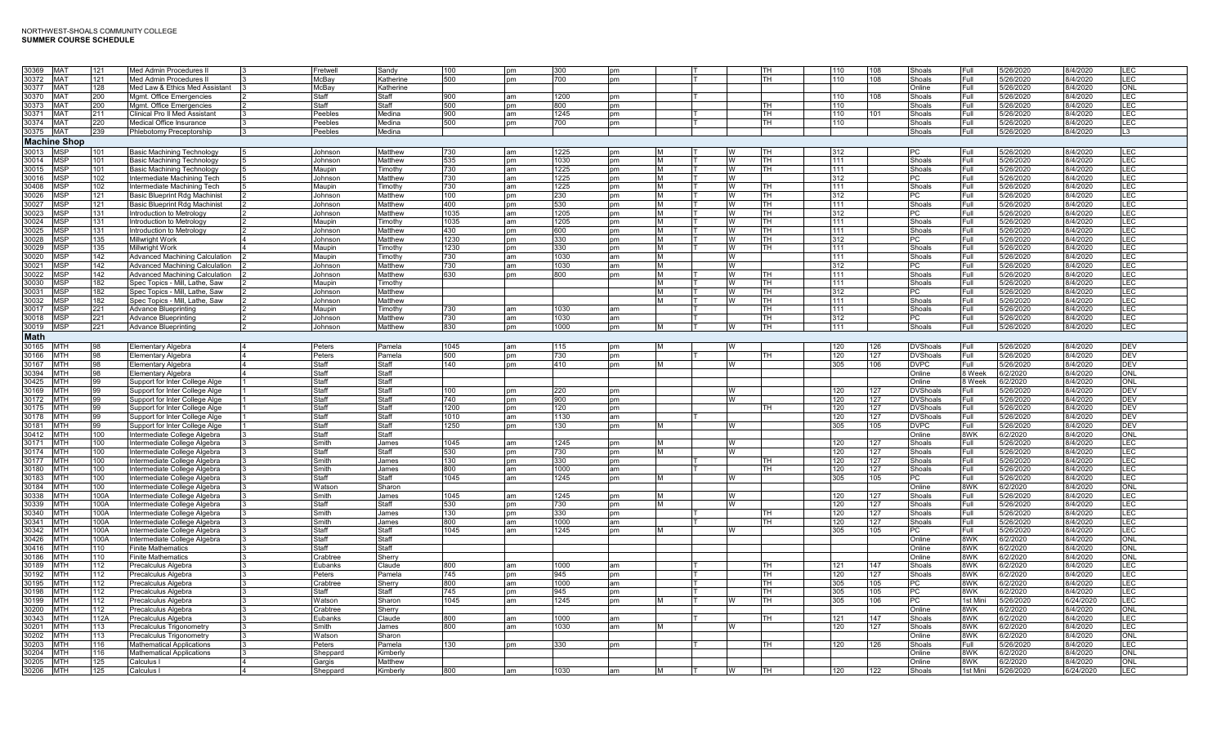| 30369 MAT   |                     | 121  | Med Admin Procedures II               | Fretwell     | Sandv        | 100  | pm  | 300  | <b>pm</b> |          |   | TH.       | 110 | 108 | Shoals          | Full     | 5/26/2020 | 8/4/2020  | LEC             |
|-------------|---------------------|------|---------------------------------------|--------------|--------------|------|-----|------|-----------|----------|---|-----------|-----|-----|-----------------|----------|-----------|-----------|-----------------|
| 30372       | <b>MAT</b>          | 121  | Med Admin Procedures I                | McBav        | Katherine    | 500  | pm  | 700  | pm        |          |   | TН        | 110 | 108 | Shoals          | Full     | 5/26/2020 | 8/4/2020  | LEC             |
|             |                     |      |                                       |              |              |      |     |      |           |          |   |           |     |     |                 |          |           |           |                 |
| 30377       | <b>MAT</b>          | 128  | Med Law & Ethics Med Assistant        | McBay        | Katherine    |      |     |      |           |          |   |           |     |     | Online          | Full     | 5/26/2020 | 8/4/2020  | ONL             |
| 30370       | <b>MAT</b>          | 200  | Mgmt. Office Emergencies              | Staff        | Staff        | 900  | аm  | 1200 | pm        |          |   |           | 110 | 108 | Shoals          | Full     | 5/26/2020 | 8/4/2020  | LEC             |
|             |                     |      |                                       |              |              |      |     |      |           |          |   |           |     |     |                 |          |           |           |                 |
| 30373       | <b>MAT</b>          | 200  | Mgmt. Office Emergencies              | Staff        | Staff        | 500  | pm  | 800  | pm        |          |   | TН        | 110 |     | Shoals          | Full     | 5/26/2020 | 8/4/2020  | LEC             |
| 30371 MAT   |                     | 211  | Clinical Pro II Med Assistant         | Peebles      | Medina       | 900  | am  | 1245 | pm        |          |   | <b>TH</b> | 110 | 101 | Shoals          | Full     | 5/26/2020 | 8/4/2020  | LEC             |
|             |                     |      |                                       |              |              |      |     |      |           |          |   |           |     |     |                 |          |           |           |                 |
| 30374 MAT   |                     | 220  | Medical Office Insurance              | Peebles      | Medina       | 500  | pm  | 700  | pm        |          |   | l TH      | 110 |     | Shoals          | Full     | 5/26/2020 | 8/4/2020  | LEC             |
| 30375 MAT   |                     | 239  | Phlebotomy Preceptorship              | Peebles      | Medina       |      |     |      |           |          |   |           |     |     | Shoals          | Full     | 5/26/2020 | 8/4/2020  | L3              |
|             |                     |      |                                       |              |              |      |     |      |           |          |   |           |     |     |                 |          |           |           |                 |
|             | <b>Machine Shop</b> |      |                                       |              |              |      |     |      |           |          |   |           |     |     |                 |          |           |           |                 |
| 30013 MSP   |                     |      | Basic Machining Technology            | Johnson      | Matthew      | 730  | am  | 1225 | pm        | M        |   | ITH.      | 312 |     | PC              | Full     | 5/26/2020 | 8/4/2020  | LEC             |
|             |                     | 101  |                                       |              |              |      |     |      |           |          |   |           |     |     |                 |          |           |           |                 |
| 30014 MSP   |                     | 101  | Basic Machining Technology            | Johnson      | Matthew      | 535  | рm  | 1030 | pm        | M        |   | <b>TH</b> | 111 |     | Shoals          | Full.    | 5/26/2020 | 8/4/2020  | LEC             |
| 30015 MSP   |                     | 101  | Basic Machining Technology            | Maupin       | Timothy      | 730  | am  | 1225 | pm        | M        | w | TH.       | 111 |     | Shoals          | Full     | 5/26/2020 | 8/4/2020  | LEC             |
|             |                     |      |                                       |              |              |      |     |      |           |          |   |           |     |     |                 |          |           |           |                 |
| 30016 MSP   |                     | 102  | Intermediate Machining Tech           | Johnson      | Matthew      | 730  | am  | 1225 | pm        | M        | w |           | 312 |     | PC              | Full     | 5/26/2020 | 8/4/2020  | LEC             |
| 30408 MSP   |                     | 102  | Intermediate Machining Tech           | Maupin       | Timothv      | 730  | aт  | 1225 | pm        | M        | w | тн        | 111 |     | Shoals          | Full     | 5/26/2020 | 8/4/2020  | LEC             |
|             |                     |      |                                       |              |              |      |     |      |           |          |   |           |     |     |                 |          |           |           |                 |
| 30026       | <b>MSP</b>          | 121  | Basic Blueprint Rdg Machinis          | Johnson      | Matthew      | 100  | pm  | 230  | pm        | M        | w | TH        | 312 |     | <b>PC</b>       | Full     | 5/26/2020 | 8/4/2020  | LEC             |
| 30027       | <b>MSP</b>          | 121  | <b>Basic Blueprint Rdg Machinist</b>  | Johnson      | Matthew      | 400  | pm  | 530  | pm        | M        | w | <b>TH</b> | 111 |     | Shoals          | Full     | 5/26/2020 | 8/4/2020  | LEC             |
|             |                     |      |                                       |              |              |      |     |      |           | <b>M</b> |   |           |     |     |                 |          |           |           | LEC             |
| 30023 MSP   |                     | 131  | ntroduction to Metrology              | Johnson      | Matthew      | 1035 | am  | 1205 | pm        |          | w | TH        | 312 |     | PC              | Full     | 5/26/2020 | 8/4/2020  |                 |
| 30024 MSP   |                     | 131  | ntroduction to Metrology              | Maupin       | Timothy      | 1035 | am  | 1205 | pm        | M        | м | TH        | 111 |     | Shoals          | Full     | 5/26/2020 | 8/4/2020  | LEC             |
| 30025 MSP   |                     |      |                                       |              |              | 430  |     |      |           |          |   |           |     |     | Shoals          |          | 5/26/2020 | 8/4/2020  | LEC             |
|             |                     | 131  | ntroduction to Metrology              | Johnson      | Matthew      |      | рm  | 600  | pm        | M        |   | TH.       | 111 |     |                 | Full     |           |           |                 |
| 30028 MSP   |                     | 135  | Millwright Work                       | Johnson      | Matthew      | 1230 | pm  | 330  | pm        | M        | w | тн        | 312 |     | PC              | Full.    | 5/26/2020 | 8/4/2020  | LEC             |
| 30029 MSP   |                     | 135  |                                       | Maupin       |              | 1230 |     | 330  |           |          | w | TH        | 111 |     | Shoals          |          | 5/26/2020 | 8/4/2020  | LEC             |
|             |                     |      | Millwright Work                       |              | Timothy      |      | pm  |      | pm        | M        |   |           |     |     |                 | Full     |           |           |                 |
| 30020 MSP   |                     | 142  | <b>Advanced Machining Calculation</b> | Maupin       | Timothy      | 730  | am  | 1030 | am        | M        | w |           | 111 |     | Shoals          | Full     | 5/26/2020 | 8/4/2020  | LEC             |
| 30021       | <b>MSP</b>          | 142  | Advanced Machining Calculation        | Johnson      | Matthew      | 730  | am  | 1030 | am        | M        | w |           | 312 |     | <b>PC</b>       | Full     | 5/26/2020 | 8/4/2020  | LEC             |
|             |                     |      |                                       |              |              |      |     |      |           |          |   |           |     |     |                 |          |           |           |                 |
| 30022 MSP   |                     | 142  | Advanced Machining Calculation        | Johnson      | Matthew      | 630  | nm  | 800  | pm        | M        | w | <b>TH</b> | 111 |     | Shoals          | Full     | 5/26/2020 | 8/4/2020  | LEC             |
| 30030 MSP   |                     | 182  | Spec Topics - Mill, Lathe, Saw        | Maupin       | Timothy      |      |     |      |           | <b>M</b> | w | l TH      | 111 |     | Shoals          | Full     | 5/26/2020 | 8/4/2020  | LEC             |
|             |                     |      |                                       |              |              |      |     |      |           |          |   |           |     |     |                 |          |           |           |                 |
| 30031 MSP   |                     | 182  | Spec Topics - Mill, Lathe, Saw        | Johnson      | Matthew      |      |     |      |           |          |   | l TH      | 312 |     | PC              | Full     | 5/26/2020 | 8/4/2020  | LEC             |
| 30032       | <b>MSP</b>          | 182  | Spec Topics - Mill. Lathe. Saw        | Johnson      | Matthew      |      |     |      |           |          |   | TH        | 111 |     | Shoals          | Full     | 5/26/2020 | 8/4/2020  | LEC             |
| 30017       | <b>MSP</b>          | 221  |                                       | Maupin       |              |      |     |      |           |          |   | TH        | 111 |     | Shoals          | Full     |           | 8/4/2020  | LEC             |
|             |                     |      | <b>Advance Blueprinting</b>           |              | Timothy      | 730  | am  | 1030 | am        |          |   |           |     |     |                 |          | 5/26/2020 |           |                 |
| 30018 MSP   |                     | 221  | <b>Advance Blueprinting</b>           | Johnson      | Matthew      | 730  | am  | 1030 | am        |          |   | TH        | 312 |     | <b>PC</b>       | Full     | 5/26/2020 | 8/4/2020  | LEC             |
| 30019 MSP   |                     | 221  | <b>Advance Blueprinting</b>           | Johnson      | Matthew      | 830  | pm  | 1000 | pm        | M        | w | <b>TH</b> | 111 |     | Shoals          | Full     | 5/26/2020 | 8/4/2020  | LEC             |
|             |                     |      |                                       |              |              |      |     |      |           |          |   |           |     |     |                 |          |           |           |                 |
| <b>Math</b> |                     |      |                                       |              |              |      |     |      |           |          |   |           |     |     |                 |          |           |           |                 |
|             |                     |      |                                       |              |              |      |     |      |           |          |   |           |     |     |                 |          |           |           |                 |
| 30165       | <b>MTH</b>          | 98   | Elementary Algebra                    | Peters       | Pamela       | 1045 | lam | 115  | pm        | M        |   |           | 120 | 126 | <b>DVShoals</b> | Full     | 5/26/2020 | 8/4/2020  | DEV             |
| 30166       | <b>MTH</b>          | 98   | Elementary Algebra                    | Peters       | Pamela       | 500  | pm  | 730  | pm        |          |   | TН        | 120 | 127 | <b>DVShoals</b> | Full     | 5/26/2020 | 8/4/2020  | DEV             |
| 30167       | <b>MTH</b>          | 98   | Elementary Algebra                    | Staff        | Staff        | 140  | рm  | 410  | pm        | M        | W |           | 305 | 106 | <b>DVPC</b>     | Full     | 5/26/2020 | 8/4/2020  | DEV             |
|             |                     |      |                                       |              |              |      |     |      |           |          |   |           |     |     |                 |          |           |           |                 |
| 30394       | <b>MTH</b>          | 98   | Elementary Algebra                    | Staff        | <b>Staff</b> |      |     |      |           |          |   |           |     |     | Online          | 8 Week   | 6/2/2020  | 8/4/2020  | $_{\text{ONL}}$ |
| 30425 MTH   |                     | 99   | Support for Inter College Alge        | Staff        | Staff        |      |     |      |           |          |   |           |     |     | Online          | 8 Week   | 6/2/2020  | 8/4/2020  | ONL             |
|             |                     |      |                                       |              |              |      |     |      |           |          |   |           |     |     |                 |          |           |           |                 |
| 30169       | <b>MTH</b>          | 99   | Support for Inter College Alge        | Staff        | Staff        | 100  | pm  | 220  | <b>pm</b> |          |   |           | 120 | 127 | <b>DVShoals</b> | Full     | 5/26/2020 | 8/4/2020  | DEV             |
| 30172 MTH   |                     | 99   | Support for Inter College Alge        | Staff        | Staff        | 740  | рm  | 900  | pm        |          | w |           | 120 | 127 | <b>DVShoals</b> | Full-    | 5/26/2020 | 8/4/2020  | DEV             |
|             |                     |      |                                       |              |              |      |     |      |           |          |   |           |     |     |                 |          |           |           |                 |
| 30175 MTH   |                     | 99   | Support for Inter College Alge        | Staff        | Staff        | 1200 | pm  | 120  | pm        |          |   | тн        | 120 | 127 | <b>DVShoals</b> | Full     | 5/26/2020 | 8/4/2020  | DEV             |
| 30178       | <b>MTH</b>          | 99   | Support for Inter College Alge        | Staff        | Staff        | 1010 | aт  | 1130 | am        |          |   |           | 120 | 127 | <b>DVShoals</b> | Full     | 5/26/2020 | 8/4/2020  | DEV             |
|             |                     |      |                                       |              |              |      |     |      |           |          |   |           |     |     |                 |          |           |           |                 |
| 30181       | <b>MTH</b>          | 99   | Support for Inter College Alge        | Staff        | Staff        | 1250 | рm  | 130  | pm        |          | w |           | 305 | 105 | <b>DVPC</b>     | Full     | 5/26/2020 | 8/4/2020  | DEV             |
| 30412       | <b>MTH</b>          | 100  | Intermediate College Algebra          | Staff        | Staff        |      |     |      |           |          |   |           |     |     | Online          | 8WK      | 6/2/2020  | 8/4/2020  | ONL             |
|             |                     |      |                                       |              |              |      |     |      |           |          |   |           |     |     |                 |          |           |           |                 |
| 30171 MTH   |                     | 100  | Intermediate College Algebra          | Smith        | James        | 1045 | am  | 1245 | pm        | <b>M</b> | w |           | 120 | 127 | Shoals          | Full     | 5/26/2020 | 8/4/2020  | LEC             |
| 30174 MTH   |                     | 100  | Intermediate College Algebra          | Staff        | Staff        | 530  | рm  | 730  | pm        | M        | w |           | 120 | 127 | Shoals          | Full     | 5/26/2020 | 8/4/2020  | LEC             |
| 30177       |                     |      |                                       |              |              | 130  |     |      |           |          |   | TН        |     |     | Shoals          |          |           |           | LEC             |
|             | <b>MTH</b>          | 100  | ntermediate College Algebra           | Smith        | James        |      | pm  | 330  | pm        |          |   |           | 120 | 127 |                 | Full     | 5/26/2020 | 8/4/2020  |                 |
| 30180       | <b>MTH</b>          | 100  | Intermediate College Algebra          | Smith        | James        | 800  | am  | 1000 | am        |          |   | TН        | 120 | 127 | Shoals          | Full     | 5/26/2020 | 8/4/2020  | LEC             |
| 30183       | <b>IMTH</b>         | 100  |                                       | Staff        | Staff        | 1045 | am  | 1245 | pm        | M        | w |           | 305 | 105 | PC              | Full     | 5/26/2020 | 8/4/2020  | LEC             |
|             |                     |      | Intermediate College Algebra          |              |              |      |     |      |           |          |   |           |     |     |                 |          |           |           |                 |
| 30184       | <b>IMTH</b>         | 100  | Intermediate College Algebra          | Watson       | Sharon       |      |     |      |           |          |   |           |     |     | Online          | 8WK      | 6/2/2020  | 8/4/2020  | ONL             |
| 30338       | <b>MTH</b>          | 100A | Intermediate College Algebra          | Smith        | James        | 1045 | am  | 1245 | pm        | M        | w |           | 120 | 127 | Shoals          | Full     | 5/26/2020 | 8/4/2020  | LEC             |
|             |                     |      |                                       |              |              |      |     |      |           | M        |   |           |     |     |                 |          |           |           |                 |
| 30339       | <b>MTH</b>          | 100A | Intermediate College Algebra          | Staff        | Staff        | 530  | pm  | 730  | pm        |          | W |           | 120 | 127 | Shoals          | Full     | 5/26/2020 | 8/4/2020  | LEC             |
| 30340 MTH   |                     | 100A | Intermediate College Algebra          | Smith        | James        | 130  | pm  | 330  | pm        |          |   | l TH      | 120 | 127 | Shoals          | Full     | 5/26/2020 | 8/4/2020  | LEC             |
| 30341 MTH   |                     | 100A | ntermediate College Algebra           | Smith        | lames        | 800  | аm  | 1000 | am        |          |   | TH        | 120 | 127 | Shoals          | Full     | 5/26/2020 | 8/4/2020  | LEC             |
|             |                     |      |                                       |              |              |      |     |      |           |          |   |           |     |     |                 |          |           |           |                 |
| 30342 MTH   |                     | 100A | Intermediate College Algebra          | <b>Staff</b> | <b>Staff</b> | 1045 | аm  | 1245 | <b>pm</b> |          |   |           | 305 | 105 | PC              | Full     | 5/26/2020 | 8/4/2020  | LEC             |
| 30426 MTH   |                     | 100A | Intermediate College Algebra          | Staff        | Staff        |      |     |      |           |          |   |           |     |     | Online          | 8WK      | 6/2/2020  | 8/4/2020  | ONL             |
|             |                     |      |                                       |              |              |      |     |      |           |          |   |           |     |     |                 |          |           |           |                 |
| 30416 MTH   |                     | 110  | Finite Mathematics                    | Staff        | Staff        |      |     |      |           |          |   |           |     |     | Online          | 8WK      | 6/2/2020  | 8/4/2020  | ONL             |
| 30186       | <b>IMTH</b>         | 110  | Finite Mathematics                    | Crabtree     | Sherrv       |      |     |      |           |          |   |           |     |     | Online          | 8WK      | 6/2/2020  | 8/4/2020  | ONL             |
| 30189 MTH   |                     | 112  |                                       | Eubanks      | Claude       | 800  | am  | 1000 | am        |          |   | TН        | 121 | 147 | Shoals          | 8WK      |           |           | LEC             |
|             |                     |      | Precalculus Algebra                   |              |              |      |     |      |           |          |   |           |     |     |                 |          | 6/2/2020  | 8/4/2020  |                 |
| 30192 MTH   |                     | 112  | Precalculus Algebra                   | Peters       | Pamela       | 745  | pm  | 945  | pm        |          |   | TH.       | 120 | 127 | Shoals          | 8WK      | 6/2/2020  | 8/4/2020  | LEC             |
| 30195 MTH   |                     | 112  | Precalculus Algebra                   | Crabtree     | Sherry       | 800  | am  | 1000 | am        |          |   | TH        | 305 | 105 | PC              | 8WK      | 6/2/2020  | 8/4/2020  | LEC             |
|             |                     |      |                                       |              |              |      |     |      |           |          |   |           |     |     |                 |          |           |           |                 |
| 30198 MTH   |                     | 112  | Precalculus Algebra                   | Staff        | Staff        | 745  | pm  | 945  | pm        |          |   | <b>TH</b> | 305 | 105 | <b>PC</b>       | 8WK      | 6/2/2020  | 8/4/2020  | LEC             |
| 30199 MTH   |                     | 112  | Precalculus Algebra                   | Watson       | Sharon       | 1045 | am  | 1245 | pm        | M        | w | TH.       | 305 | 106 | <b>PC</b>       | 1st Mini | 5/26/2020 | 6/24/2020 | LEC             |
|             |                     |      |                                       |              |              |      |     |      |           |          |   |           |     |     |                 |          |           |           |                 |
| 30200 MTH   |                     | 112  | Precalculus Algebra                   | Crabtree     | Sherry       |      |     |      |           |          |   |           |     |     | Online          | 8WK      | 6/2/2020  | 8/4/2020  | ONL             |
| 30343 MTH   |                     | 112A | Precalculus Algebra                   | Eubanks      | Claude       | 800  | am  | 1000 | am        |          |   | TH        | 121 | 147 | Shoals          | 8WK      | 6/2/2020  | 8/4/2020  | LEC.            |
|             |                     |      |                                       |              |              |      |     |      |           |          |   |           |     |     |                 |          |           |           |                 |
| 30201       | <b>MTH</b>          | 113  | Precalculus Trigonometry              | Smith        | James        | 800  | am  | 1030 | am        | M        |   |           | 120 | 127 | Shoals          | 8WK      | 6/2/2020  | 8/4/2020  | LEC             |
| 30202       | <b>MTH</b>          | 113  | Precalculus Trigonometry              | Watson       | Sharon       |      |     |      |           |          |   |           |     |     | Online          | 8WK      | 6/2/2020  | 8/4/2020  | ONL             |
|             |                     |      |                                       |              |              |      |     |      |           |          |   |           |     |     |                 |          |           |           |                 |
| 30203 MTH   |                     | 116  | <b>Mathematical Applications</b>      | Peters       | Pamela       | 130  | pm  | 330  | pm        |          |   | ITH       | 120 | 126 | Shoals          | Full     | 5/26/2020 | 8/4/2020  | LEC             |
| 30204 MTH   |                     | 116  | <b>Mathematical Applications</b>      | Sheppard     | Kimberly     |      |     |      |           |          |   |           |     |     | Online          | 8WK      | 6/2/2020  | 8/4/2020  | ONL             |
| 30205 MTH   |                     | 125  | Calculus I                            | Gargis       | Matthew      |      |     |      |           |          |   |           |     |     | Online          | 8WK.     | 6/2/2020  | 8/4/2020  | ONL             |
|             |                     |      |                                       |              |              |      |     |      |           |          |   |           |     |     |                 |          |           |           |                 |
| 30206 MTH   |                     | 125  | Calculus I                            | Sheppard     | Kimberly     | 800  | aт  | 1030 | am        |          |   | TH.       | 120 | 122 | Shoals          | 1st Mini | 5/26/2020 | 6/24/2020 | LEC             |
|             |                     |      |                                       |              |              |      |     |      |           |          |   |           |     |     |                 |          |           |           |                 |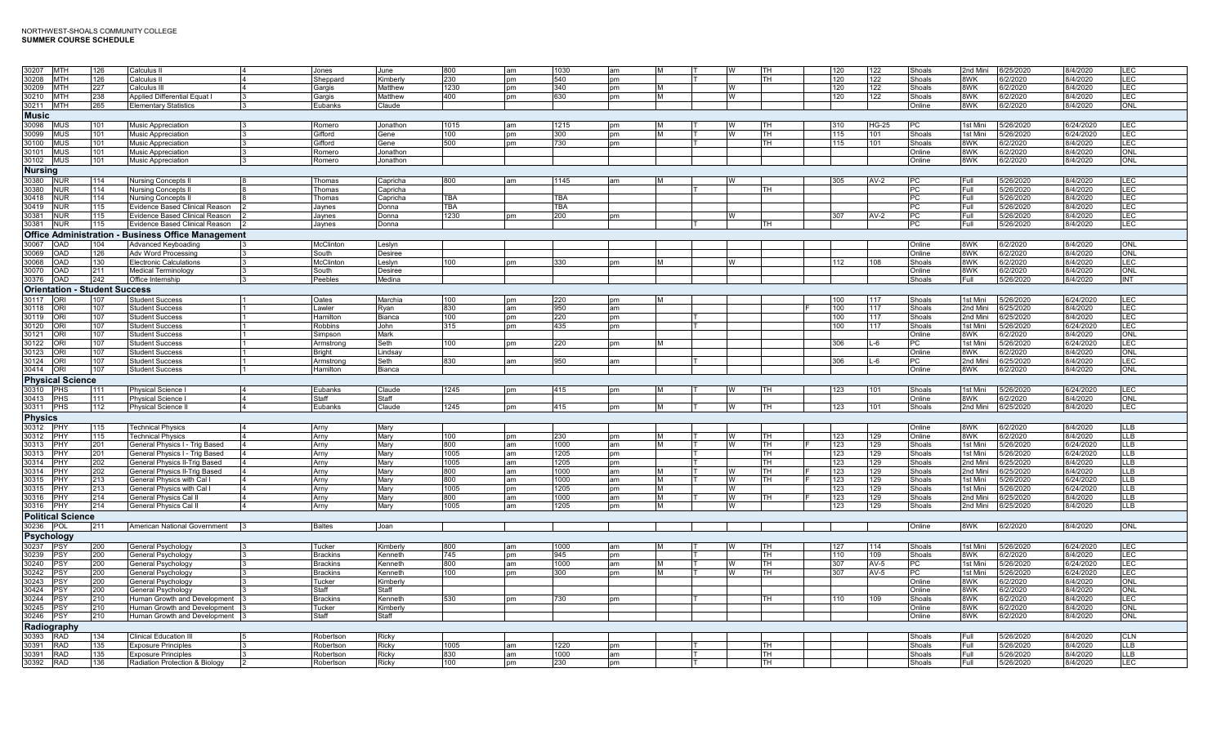| 30207 MTH                            | 126  | Calculus II                               | Jones            | June     | 800        | am            | 1030       | am        | <b>M</b>  |    | TH             | 120 | 122          | Shoals        | 2nd Mini | 6/25/2020 | 8/4/2020  | LEC.             |
|--------------------------------------|------|-------------------------------------------|------------------|----------|------------|---------------|------------|-----------|-----------|----|----------------|-----|--------------|---------------|----------|-----------|-----------|------------------|
| 30208 MTH                            | 126  | Calculus II                               | Sheppard         | Kimberly | 230        | pm            | 540        | pm        |           |    | TH             | 120 | 122          | Shoals        | 8WK      | 6/2/2020  | 8/4/2020  | LEC              |
|                                      |      |                                           |                  |          |            |               |            |           |           |    |                |     |              |               |          |           |           |                  |
| 30209 MTH                            | 227  | Calculus III                              | Gargis           | Matthew  | 1230       | pm            | 340        | pm        | M         | W  |                | 120 | 122          | Shoals        | 8WK      | 6/2/2020  | 8/4/2020  | LEC.             |
| 30210 MTH                            | 238  | Applied Differential Equat I              | Gargis           | Matthew  | 400        | pm            | 630        | pm        | M         | W  |                | 120 | 122          | Shoals        | 8WK      | 6/2/2020  | 8/4/2020  | LEC              |
|                                      |      |                                           |                  |          |            |               |            |           |           |    |                |     |              |               |          |           |           |                  |
| 30211 MTH                            | 265  | <b>Elementary Statistics</b>              | Eubanks          | Claude   |            |               |            |           |           |    |                |     |              | Online        | 8WK      | 6/2/2020  | 8/4/2020  | ONL              |
| <b>Music</b>                         |      |                                           |                  |          |            |               |            |           |           |    |                |     |              |               |          |           |           |                  |
|                                      |      |                                           |                  |          |            |               |            |           |           |    |                |     |              |               |          |           |           |                  |
| 30098<br><b>MUS</b>                  | 101  | <b>Music Appreciation</b>                 | Romero           | Jonathon | 1015       | lam           | 1215       | pm        | <b>M</b>  |    | TH             | 310 | <b>HG-25</b> | <b>PC</b>     | 1st Mini | 5/26/2020 | 6/24/2020 | LEC              |
| 30099<br><b>MUS</b>                  | 101  | Music Appreciation                        | Gifford          | Gene     | 100        | nm            | 300        | pm        | M         |    | TH             | 115 | 101          | Shoals        | 1st Mini | 5/26/2020 | 6/24/2020 | LEC              |
|                                      |      |                                           |                  |          |            |               |            |           |           |    |                |     |              |               |          |           |           |                  |
| 30100 MUS                            | 101  | Music Appreciation<br>$\mathbf{z}$        | Gifford          | Gene     | 500        | pm            | 730        | pm        |           |    | $\overline{H}$ | 115 | 101          | Shoals        | 8WK      | 6/2/2020  | 8/4/2020  | LEC              |
| 30101 MUS                            | 101  | Music Appreciation                        | Romero           | Jonathon |            |               |            |           |           |    |                |     |              | Online        | 8WK      | 6/2/2020  | 8/4/2020  | ONL              |
|                                      |      |                                           |                  |          |            |               |            |           |           |    |                |     |              |               |          |           |           |                  |
| 30102 MUS                            | 101  | Music Appreciation<br>3                   | Romero           | Jonathon |            |               |            |           |           |    |                |     |              | Online        | 8WK      | 6/2/2020  | 8/4/2020  | ONL              |
|                                      |      |                                           |                  |          |            |               |            |           |           |    |                |     |              |               |          |           |           |                  |
| <b>Nursing</b>                       |      |                                           |                  |          |            |               |            |           |           |    |                |     |              |               |          |           |           |                  |
| 30380 NUR                            | 114  | <b>Nursing Concepts I</b>                 | Thomas           | Capricha | 800        | am            | 1145       | am        |           |    |                | 305 | $AV-2$       | <b>IPC</b>    | Full.    | 5/26/2020 | 8/4/2020  | LEC              |
| <b>NUR</b>                           | 114  |                                           | Thomas           |          |            |               |            |           |           |    | TН             |     |              |               | Full     |           |           | LEC              |
| 30380                                |      | <b>Nursing Concepts I</b>                 |                  | Capricha |            |               |            |           |           |    |                |     |              | PC            |          | 5/26/2020 | 8/4/2020  |                  |
| 30418 NUR                            | 114  | <b>Nursing Concepts II</b>                | Thomas           | Capricha | <b>TBA</b> |               | <b>TBA</b> |           |           |    |                |     |              | PC            | Full     | 5/26/2020 | 8/4/2020  | LEC              |
|                                      |      |                                           |                  |          |            |               |            |           |           |    |                |     |              |               |          |           |           |                  |
| 30419 NUR                            | 115  | Evidence Based Clinical Reason            | Jaynes           | Donna    | <b>TBA</b> |               | <b>TBA</b> |           |           |    |                |     |              | PC            | Full     | 5/26/2020 | 8/4/2020  | LEC              |
| 30381<br><b>NUR</b>                  | 115  | Evidence Based Clinical Reason            | Jaynes           | Donna    | 1230       | <b>pm</b>     | 200        | <b>pm</b> |           |    |                | 307 | $AV-2$       | <b>PC</b>     | Full     | 5/26/2020 | 8/4/2020  | LEC              |
|                                      |      |                                           |                  |          |            |               |            |           |           |    |                |     |              |               |          |           |           |                  |
| 30381<br><b>NUR</b>                  | 115  | Evidence Based Clinical Reason            | Jaynes           | Donna    |            |               |            |           |           |    | TH.            |     |              | PC            | Full     | 5/26/2020 | 8/4/2020  | <b>LEC</b>       |
| <b>Office Administration</b>         |      |                                           |                  |          |            |               |            |           |           |    |                |     |              |               |          |           |           |                  |
|                                      |      | <b>Business Office Management</b>         |                  |          |            |               |            |           |           |    |                |     |              |               |          |           |           |                  |
| 30067 OAD                            | 104  | Advanced Keyboading                       | <b>McClinton</b> | Leslyn   |            |               |            |           |           |    |                |     |              | Online        | 8WK      | 6/2/2020  | 8/4/2020  | ONL              |
|                                      |      |                                           |                  |          |            |               |            |           |           |    |                |     |              | Online        | 8WK      |           |           | ONL              |
| 30069 OAD                            | 126  | <b>Adv Word Processing</b>                | South            | Desiree  |            |               |            |           |           |    |                |     |              |               |          | 6/2/2020  | 8/4/2020  |                  |
| 30068 OAD                            | 130  | Electronic Calculations                   | <b>McClinton</b> | Leslyn   | 100        | pm            | 330        | <b>pm</b> | IM.       |    |                | 112 | 108          | Shoals        | 8WK      | 6/2/2020  | 8/4/2020  | LEC              |
|                                      |      |                                           |                  |          |            |               |            |           |           |    |                |     |              |               |          |           |           |                  |
| 30070<br><b>OAD</b>                  | 211  | Medical Terminology                       | South            | Desiree  |            |               |            |           |           |    |                |     |              | Online        | 8WK.     | 6/2/2020  | 8/4/2020  | ONL              |
| 30376 OAD                            | 242  | Office Internship                         | Peebles          | Medina   |            |               |            |           |           |    |                |     |              | Shoals        | Full     | 5/26/2020 | 8/4/2020  | INT              |
|                                      |      |                                           |                  |          |            |               |            |           |           |    |                |     |              |               |          |           |           |                  |
| <b>Orientation - Student Success</b> |      |                                           |                  |          |            |               |            |           |           |    |                |     |              |               |          |           |           |                  |
| 30117 ORI                            | 107  | <b>Student Success</b>                    | Oates            | Marchia  | 100        | pm            | 220        | pm        | IM.       |    |                | 100 | 117          | Shoals        | 1st Mini | 5/26/2020 | 6/24/2020 | LEC              |
|                                      |      |                                           |                  |          |            |               |            |           |           |    |                |     |              |               |          |           |           |                  |
| 30118 ORI                            | 107  | <b>Student Success</b>                    | Lawler           | Ryan     | 830        | am            | 950        | am        |           |    |                | 100 | 117          | Shoals        | 2nd Mini | 6/25/2020 | 8/4/2020  | LEC              |
|                                      |      |                                           |                  |          |            |               |            |           |           |    |                |     |              |               |          |           |           |                  |
| 30119 ORI                            | 107  | <b>Student Success</b>                    | Hamilton         | Bianca   | 100        | pm            | 220        | pm        |           |    |                | 100 | 117          | Shoals        | 2nd Mini | 6/25/2020 | 8/4/2020  | LEC              |
| 30120<br><b>IORI</b>                 | 107  | <b>Student Success</b>                    | <b>Robbins</b>   | John     | 315        | pm            | 435        | pm        |           |    |                | 100 | 117          | Shoals        | 1st Mini | 5/26/2020 | 6/24/2020 | LEC              |
| 30121 ORI                            | 107  | <b>Student Success</b>                    |                  | Mark     |            |               |            |           |           |    |                |     |              | Online        | 8WK      | 6/2/2020  | 8/4/2020  | ONL              |
|                                      |      |                                           | Simpson          |          |            |               |            |           |           |    |                |     |              |               |          |           |           |                  |
| 30122 ORI                            | 107  | <b>Student Success</b>                    | Armstrong        | Seth     | 100        | pm            | 220        | pm        | <b>M</b>  |    |                | 306 | $L-6$        | РC            | 1st Mini | 5/26/2020 | 6/24/2020 | LEC              |
|                                      |      | <b>Student Success</b>                    |                  |          |            |               |            |           |           |    |                |     |              |               |          |           |           | ONL              |
| 30123 ORI                            | 107  |                                           | <b>Bright</b>    | Lindsay  |            |               |            |           |           |    |                |     |              | Online        | 8WK      | 6/2/2020  | 8/4/2020  |                  |
| 30124 ORI                            | 107  | <b>Student Success</b>                    | Armstrong        | Seth     | 830        | am            | 950        | am        |           |    |                | 306 | L-6          | РC            | 2nd Mini | 6/25/2020 | 8/4/2020  | LEC              |
| 30414 ORI                            |      |                                           |                  |          |            |               |            |           |           |    |                |     |              |               |          |           |           |                  |
|                                      | 107  | <b>Student Success</b>                    | Hamilton         | Bianca   |            |               |            |           |           |    |                |     |              | Online        | 8WK      | 6/2/2020  | 8/4/2020  | ONL              |
| <b>Physical Science</b>              |      |                                           |                  |          |            |               |            |           |           |    |                |     |              |               |          |           |           |                  |
|                                      |      |                                           |                  |          |            |               |            |           |           |    |                |     |              |               |          |           |           |                  |
| 30310 PHS                            | 1111 | Physical Science I                        | Eubanks          | Claude   | 1245       | <sub>pm</sub> | 415        | pm        | <b>M</b>  | IW | TH             | 123 | 101          | Shoals        | 1st Mini | 5/26/2020 | 6/24/2020 | LEC              |
| 30413 PHS                            | 111  |                                           | Staff            | Staff    |            |               |            |           |           |    |                |     |              | Online        | 8WK      | 6/2/2020  | 8/4/2020  | ONL              |
|                                      |      | <b>Physical Science I</b>                 |                  |          |            |               |            |           |           |    |                |     |              |               |          |           |           |                  |
| 30311 PHS                            | 112  | Physical Science II<br>$\overline{4}$     | Eubanks          | Claude   | 1245       | pm            | 415        | pm        | M         | W  | TН             | 123 | 101          | Shoals        | 2nd Mini | 6/25/2020 | 8/4/2020  | LEC              |
|                                      |      |                                           |                  |          |            |               |            |           |           |    |                |     |              |               |          |           |           |                  |
| <b>Physics</b>                       |      |                                           |                  |          |            |               |            |           |           |    |                |     |              |               |          |           |           |                  |
|                                      |      |                                           |                  |          |            |               |            |           |           |    |                |     |              |               |          |           |           |                  |
| 30312 PHY                            | 115  | <b>Technical Physics</b>                  | Arny             | Mary     |            |               |            |           |           |    |                |     |              | Online        | 8WK      | 6/2/2020  | 8/4/2020  | LLB              |
| 30312<br><b>IPHY</b>                 | 115  | <b>Technical Physics</b>                  | Arny             | Marv     | 100        | pm            | 230        | pm        | <b>M</b>  |    | TН             | 123 | 129          | Online        | 8WK      | 6/2/2020  | 8/4/2020  | LLB              |
|                                      |      |                                           |                  |          | 800        | am            |            | am        | M         | W  | TH.            |     |              |               | 1st Mini |           |           |                  |
| 30313<br>PHY                         | 201  | General Physics I - Trig Based            | Arny             | Mary     |            |               | 1000       |           |           |    |                | 123 | 129          | Shoals        |          | 5/26/2020 | 6/24/2020 | LLB              |
| 30313 PHY                            | 201  | <b>General Physics I - Trig Based</b>     | Arny             | Mary     | 1005       | am            | 1205       | pm        |           |    | TH.            | 123 | 129          | Shoals        | 1st Mini | 5/26/2020 | 6/24/2020 | LLB <sup>1</sup> |
| 30314 PHY                            | 202  |                                           |                  |          | 1005       |               | 1205       |           |           |    | TH.            |     | 129          |               |          |           |           | LLB.             |
|                                      |      | General Physics II-Trig Based             | Arny             | Mary     |            | am            |            | pm        |           |    |                | 123 |              | Shoals        | 2nd Min  | 3/25/2020 | 8/4/2020  |                  |
| 30314 PHY                            | 202  | <b>General Physics II-Trig Based</b>      | Arny             | Mary     | 800        | am            | 1000       | am        | <b>IM</b> |    | TH             | 123 | 129          | <b>Shoals</b> | 2nd Mini | 6/25/2020 | 3/4/2020  | LLB.             |
| 30315 PHY                            | 213  |                                           |                  |          | 800        |               | 1000       |           | M         |    | TН             |     |              |               | 1st Mini |           | 6/24/2020 |                  |
|                                      |      | <b>General Physics with Cal I</b>         | Arny             | Mary     |            | am            |            | am        |           |    |                | 123 | 129          | Shoals        |          | 5/26/2020 |           | LLB              |
| 30315 PHY                            | 213  | General Physics with Cal I                | Arny             | Mary     | 1005       | pm            | 1205       | pm        | M         | W  |                | 123 | 129          | Shoals        | 1st Mini | 5/26/2020 | 6/24/2020 | LLB              |
| 30316 PHY                            | 214  | General Physics Cal II                    | Arny             | Mary     | 800        | am            | 1000       | am        | M         | IW | TН             | 123 | 129          | Shoals        | 2nd Mini | 6/25/2020 | 8/4/2020  | LLB              |
|                                      |      |                                           |                  |          |            |               |            |           |           |    |                |     |              |               |          |           |           |                  |
| 30316 PHY                            | 214  | General Physics Cal I                     | Arny             | Mary     | 1005       | am            | 1205       | pm        | M         | W  |                | 123 | 129          | Shoals        | 2nd Mini | 6/25/2020 | 8/4/2020  | LLB              |
|                                      |      |                                           |                  |          |            |               |            |           |           |    |                |     |              |               |          |           |           |                  |
| <b>Political Science</b>             |      |                                           |                  |          |            |               |            |           |           |    |                |     |              |               |          |           |           |                  |
| 30236 POL                            | 211  | American National Government<br>$\vert$ 3 | <b>Baltes</b>    | Joan     |            |               |            |           |           |    |                |     |              | Online        | 8WK      | 6/2/2020  | 8/4/2020  | <b>ONL</b>       |
|                                      |      |                                           |                  |          |            |               |            |           |           |    |                |     |              |               |          |           |           |                  |
| <b>Psychology</b>                    |      |                                           |                  |          |            |               |            |           |           |    |                |     |              |               |          |           |           |                  |
|                                      |      |                                           |                  |          |            |               |            |           |           |    |                |     |              |               |          |           |           |                  |
| 30237 PSY                            | 200  | General Psychology                        | Tucker           | Kimberly | 800        | am            | 1000       | am        | M         |    | TH             | 127 | 114          | Shoals        | 1st Mini | 5/26/2020 | 6/24/2020 | LEC              |
| 30239 PSY                            | 200  | General Psychology                        | <b>Brackins</b>  | Kenneth  | 745        | pm            | 945        | pm        |           |    | TH             | 110 | 109          | Shoals        | 8WK      | 6/2/2020  | 8/4/2020  | LEC              |
|                                      |      |                                           |                  |          |            |               |            |           | M         |    |                |     |              |               |          |           |           |                  |
| 30240 PSY                            | 200  | General Psychology                        | <b>Brackins</b>  | Kenneth  | 800        | am            | 1000       | am        |           | W  | TH.            | 307 | $AV-5$       | PC            | 1st Mini | 5/26/2020 | 6/24/2020 | LEC              |
| 30242 PSY                            | 200  | General Psychology                        | <b>Brackins</b>  | Kenneth  | 100        | pm            | 300        | pm        | M         |    | TН             | 307 | $AV-5$       | PC            | 1st Mini | 5/26/2020 | 6/24/2020 | LEC              |
|                                      |      |                                           |                  |          |            |               |            |           |           |    |                |     |              |               |          |           |           |                  |
| 30243 PSY                            | 200  | General Psychology                        | Tucker           | Kimberly |            |               |            |           |           |    |                |     |              | Online        | 8WK      | 6/2/2020  | 8/4/2020  | ONL              |
| 30424 PSY                            | 200  | General Psychology                        | Staff            | Staff    |            |               |            |           |           |    |                |     |              | Online        | 8WK      | 6/2/2020  | 8/4/2020  | ONL              |
|                                      |      |                                           |                  |          |            |               |            |           |           |    |                |     |              |               |          |           |           |                  |
| 30244 PSY                            | 210  | Human Growth and Development              | <b>Brackins</b>  | Kenneth  | 530        | pm            | 730        | pm        |           |    | TH             | 110 | 109          | Shoals        | 8WK      | 6/2/2020  | 8/4/2020  | LEC              |
| 30245 PSY                            | 210  | Human Growth and Development              | Tucker           | Kimberly |            |               |            |           |           |    |                |     |              | Online        | 8WK      | 6/2/2020  | 8/4/2020  | ONL              |
|                                      |      |                                           |                  |          |            |               |            |           |           |    |                |     |              |               |          |           |           |                  |
| 30246 PSY                            | 210  | Human Growth and Development              | Staff            | Staff    |            |               |            |           |           |    |                |     |              | Online        | 8WK      | 6/2/2020  | 8/4/2020  | ONL              |
|                                      |      |                                           |                  |          |            |               |            |           |           |    |                |     |              |               |          |           |           |                  |
| Radiography                          |      |                                           |                  |          |            |               |            |           |           |    |                |     |              |               |          |           |           |                  |
| 30393 RAD                            | 134  | <b>Clinical Education III</b>             | Robertson        | Ricky    |            |               |            |           |           |    |                |     |              | Shoals        | Full     | 5/26/2020 | 8/4/2020  | CLN              |
|                                      | 135  |                                           |                  |          |            |               |            |           |           |    |                |     |              |               |          |           |           |                  |
|                                      |      | Exposure Principles                       | Robertson        | Ricky    | 1005       | am            | 1220       | nm        |           |    | TН             |     |              | Shoals        | Full     | 5/26/2020 | 8/4/2020  | LLB              |
| 30391<br>RAD                         |      |                                           |                  |          |            |               |            |           |           |    |                |     |              |               |          |           |           |                  |
|                                      |      |                                           |                  |          |            |               |            |           |           |    |                |     |              |               |          |           |           |                  |
| 30391<br><b>RAD</b>                  | 135  | Exposure Principles                       | Robertson        | Ricky    | 830        | am            | 1000       | am        |           |    | TН             |     |              | Shoals        | Full     | 5/26/2020 | 8/4/2020  | LLB <sup>1</sup> |
| 30392 RAD                            | 136  | Radiation Protection & Biology            | Robertson        | Ricky    | 100        | pm            | 230        | pm        |           |    | TH.            |     |              | Shoals        | Full     | 5/26/2020 | 8/4/2020  | <b>LEC</b>       |